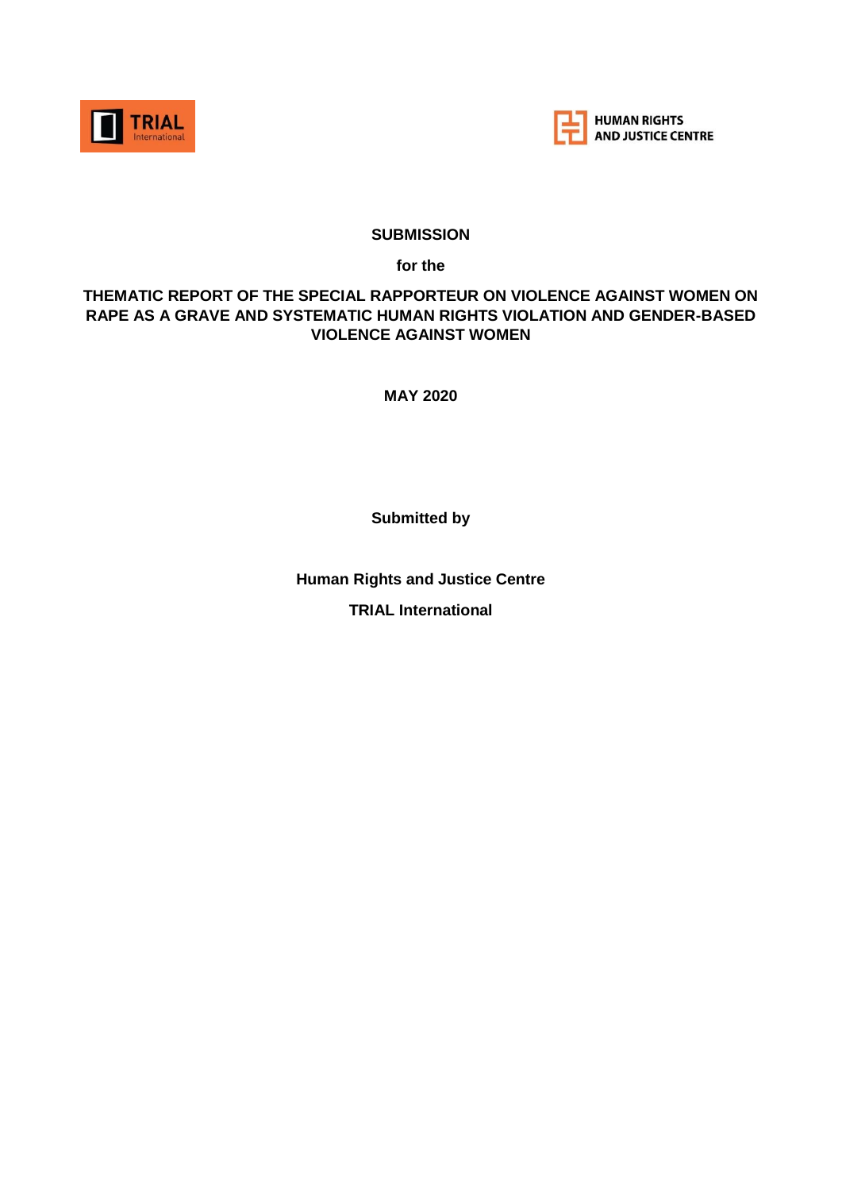



#### **SUBMISSION**

**for the** 

#### **THEMATIC REPORT OF THE SPECIAL RAPPORTEUR ON VIOLENCE AGAINST WOMEN ON RAPE AS A GRAVE AND SYSTEMATIC HUMAN RIGHTS VIOLATION AND GENDER-BASED VIOLENCE AGAINST WOMEN**

**MAY 2020**

**Submitted by**

**Human Rights and Justice Centre TRIAL International**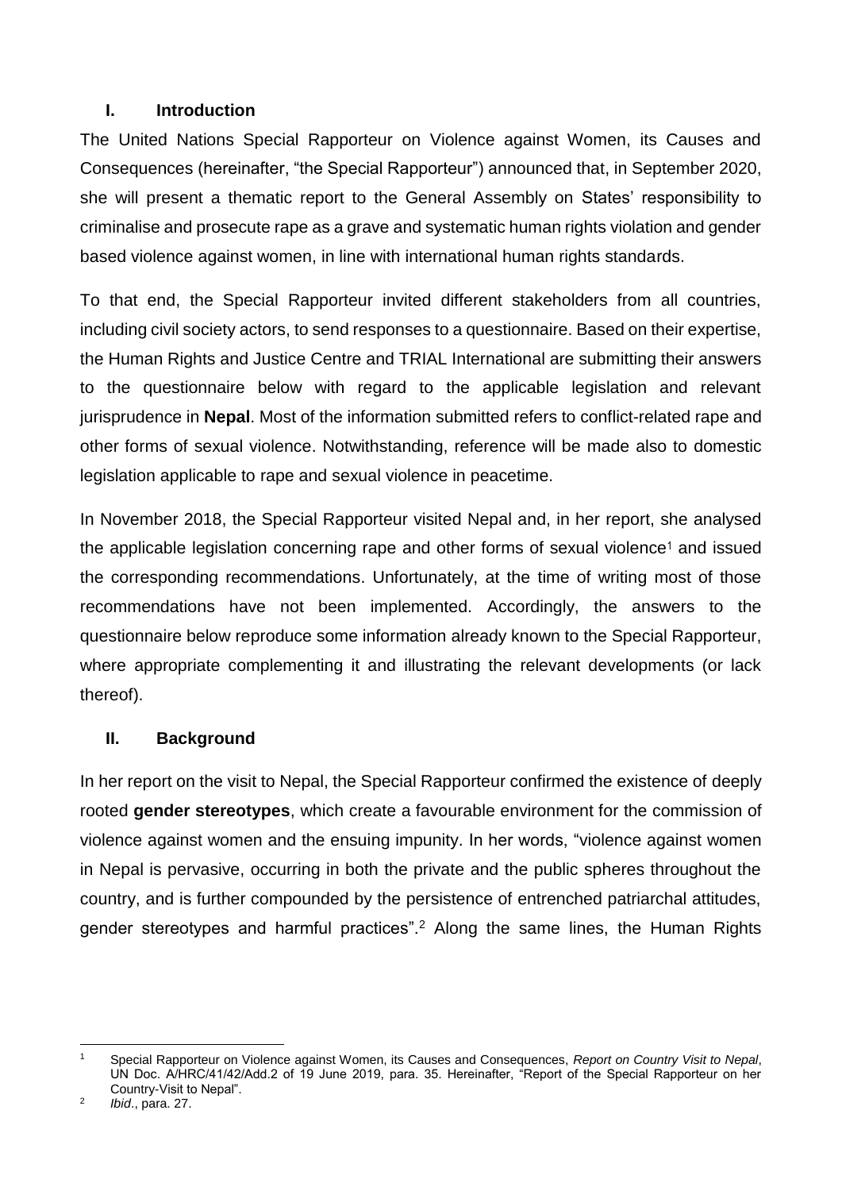### **I. Introduction**

The United Nations Special Rapporteur on Violence against Women, its Causes and Consequences (hereinafter, "the Special Rapporteur") announced that, in September 2020, she will present a thematic report to the General Assembly on States' responsibility to criminalise and prosecute rape as a grave and systematic human rights violation and gender based violence against women, in line with international human rights standards.

To that end, the Special Rapporteur invited different stakeholders from all countries, including civil society actors, to send responses to a questionnaire. Based on their expertise, the Human Rights and Justice Centre and TRIAL International are submitting their answers to the questionnaire below with regard to the applicable legislation and relevant jurisprudence in **Nepal**. Most of the information submitted refers to conflict-related rape and other forms of sexual violence. Notwithstanding, reference will be made also to domestic legislation applicable to rape and sexual violence in peacetime.

In November 2018, the Special Rapporteur visited Nepal and, in her report, she analysed the applicable legislation concerning rape and other forms of sexual violence<sup>1</sup> and issued the corresponding recommendations. Unfortunately, at the time of writing most of those recommendations have not been implemented. Accordingly, the answers to the questionnaire below reproduce some information already known to the Special Rapporteur, where appropriate complementing it and illustrating the relevant developments (or lack thereof).

### **II. Background**

In her report on the visit to Nepal, the Special Rapporteur confirmed the existence of deeply rooted **gender stereotypes**, which create a favourable environment for the commission of violence against women and the ensuing impunity. In her words, "violence against women in Nepal is pervasive, occurring in both the private and the public spheres throughout the country, and is further compounded by the persistence of entrenched patriarchal attitudes, gender stereotypes and harmful practices".<sup>2</sup> Along the same lines, the Human Rights

**<sup>.</sup>** <sup>1</sup> Special Rapporteur on Violence against Women, its Causes and Consequences, *Report on Country Visit to Nepal*, UN Doc. A/HRC/41/42/Add.2 of 19 June 2019, para. 35. Hereinafter, "Report of the Special Rapporteur on her Country-Visit to Nepal".

<sup>2</sup> *Ibid*., para. 27.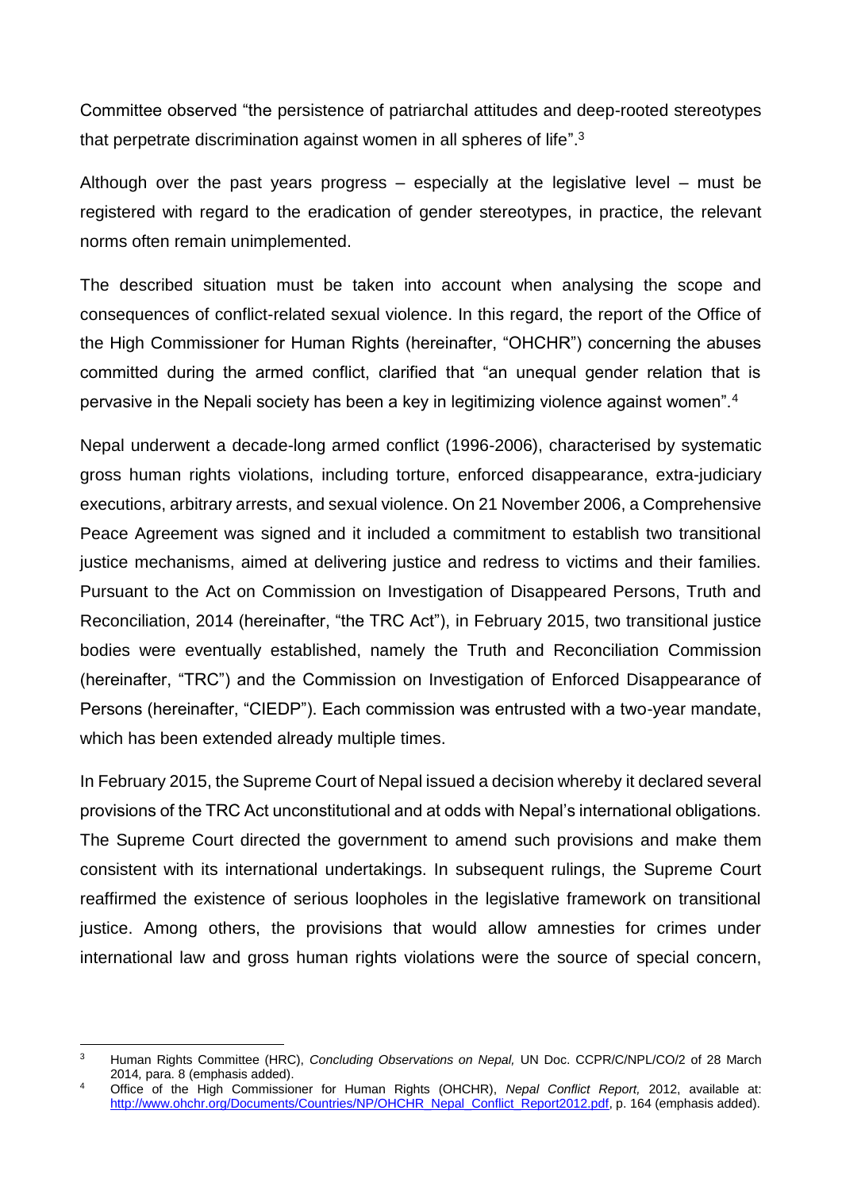Committee observed "the persistence of patriarchal attitudes and deep-rooted stereotypes that perpetrate discrimination against women in all spheres of life".<sup>3</sup>

Although over the past years progress – especially at the legislative level – must be registered with regard to the eradication of gender stereotypes, in practice, the relevant norms often remain unimplemented.

The described situation must be taken into account when analysing the scope and consequences of conflict-related sexual violence. In this regard, the report of the Office of the High Commissioner for Human Rights (hereinafter, "OHCHR") concerning the abuses committed during the armed conflict, clarified that "an unequal gender relation that is pervasive in the Nepali society has been a key in legitimizing violence against women".<sup>4</sup>

Nepal underwent a decade-long armed conflict (1996-2006), characterised by systematic gross human rights violations, including torture, enforced disappearance, extra-judiciary executions, arbitrary arrests, and sexual violence. On 21 November 2006, a Comprehensive Peace Agreement was signed and it included a commitment to establish two transitional justice mechanisms, aimed at delivering justice and redress to victims and their families. Pursuant to the Act on Commission on Investigation of Disappeared Persons, Truth and Reconciliation, 2014 (hereinafter, "the TRC Act"), in February 2015, two transitional justice bodies were eventually established, namely the Truth and Reconciliation Commission (hereinafter, "TRC") and the Commission on Investigation of Enforced Disappearance of Persons (hereinafter, "CIEDP"). Each commission was entrusted with a two-year mandate, which has been extended already multiple times.

In February 2015, the Supreme Court of Nepal issued a decision whereby it declared several provisions of the TRC Act unconstitutional and at odds with Nepal's international obligations. The Supreme Court directed the government to amend such provisions and make them consistent with its international undertakings. In subsequent rulings, the Supreme Court reaffirmed the existence of serious loopholes in the legislative framework on transitional justice. Among others, the provisions that would allow amnesties for crimes under international law and gross human rights violations were the source of special concern,

**<sup>.</sup>** <sup>3</sup> Human Rights Committee (HRC), *Concluding Observations on Nepal,* UN Doc. CCPR/C/NPL/CO/2 of 28 March 2014*,* para. 8 (emphasis added).

<sup>4</sup> Office of the High Commissioner for Human Rights (OHCHR), *Nepal Conflict Report,* 2012, available at: [http://www.ohchr.org/Documents/Countries/NP/OHCHR\\_Nepal\\_Conflict\\_Report2012.pdf,](http://www.ohchr.org/Documents/Countries/NP/OHCHR_Nepal_Conflict_Report2012.pdf) p. 164 (emphasis added).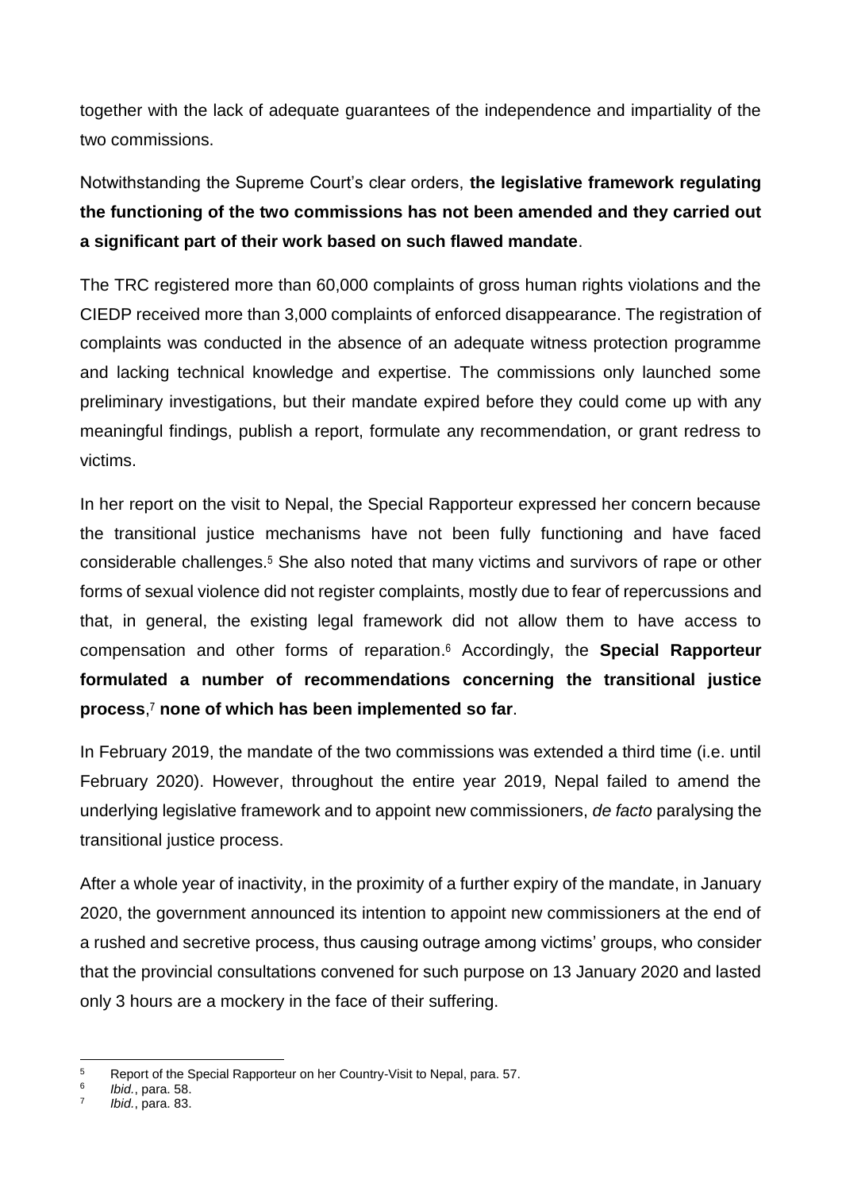together with the lack of adequate guarantees of the independence and impartiality of the two commissions.

Notwithstanding the Supreme Court's clear orders, **the legislative framework regulating the functioning of the two commissions has not been amended and they carried out a significant part of their work based on such flawed mandate**.

The TRC registered more than 60,000 complaints of gross human rights violations and the CIEDP received more than 3,000 complaints of enforced disappearance. The registration of complaints was conducted in the absence of an adequate witness protection programme and lacking technical knowledge and expertise. The commissions only launched some preliminary investigations, but their mandate expired before they could come up with any meaningful findings, publish a report, formulate any recommendation, or grant redress to victims.

In her report on the visit to Nepal, the Special Rapporteur expressed her concern because the transitional justice mechanisms have not been fully functioning and have faced considerable challenges.<sup>5</sup> She also noted that many victims and survivors of rape or other forms of sexual violence did not register complaints, mostly due to fear of repercussions and that, in general, the existing legal framework did not allow them to have access to compensation and other forms of reparation. <sup>6</sup> Accordingly, the **Special Rapporteur formulated a number of recommendations concerning the transitional justice process**, <sup>7</sup> **none of which has been implemented so far**.

In February 2019, the mandate of the two commissions was extended a third time (i.e. until February 2020). However, throughout the entire year 2019, Nepal failed to amend the underlying legislative framework and to appoint new commissioners, *de facto* paralysing the transitional justice process.

After a whole year of inactivity, in the proximity of a further expiry of the mandate, in January 2020, the government announced its intention to appoint new commissioners at the end of a rushed and secretive process, thus causing outrage among victims' groups, who consider that the provincial consultations convened for such purpose on 13 January 2020 and lasted only 3 hours are a mockery in the face of their suffering.

 $\overline{5}$ <sup>5</sup> Report of the Special Rapporteur on her Country-Visit to Nepal, para. 57.

<sup>6</sup> *Ibid.*, para. 58.

<sup>7</sup> *Ibid.*, para. 83.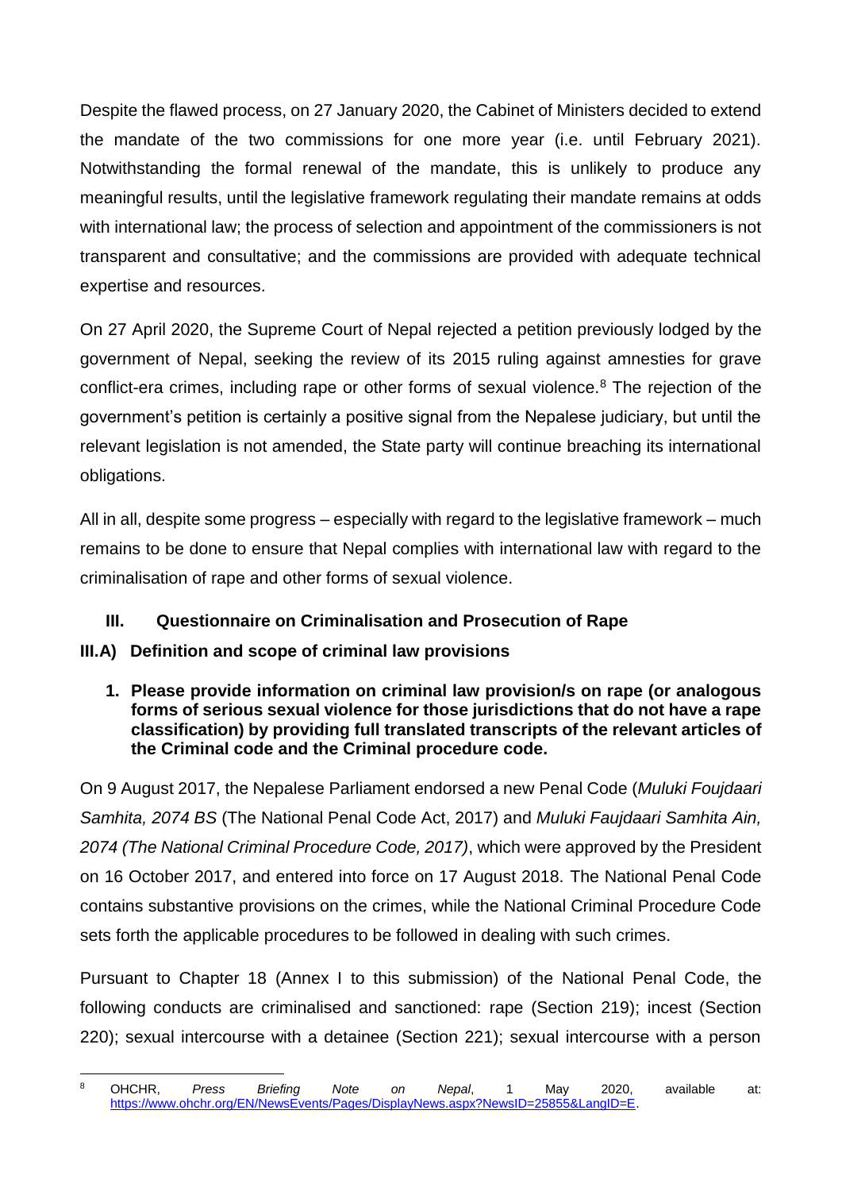Despite the flawed process, on 27 January 2020, the Cabinet of Ministers decided to extend the mandate of the two commissions for one more year (i.e. until February 2021). Notwithstanding the formal renewal of the mandate, this is unlikely to produce any meaningful results, until the legislative framework regulating their mandate remains at odds with international law; the process of selection and appointment of the commissioners is not transparent and consultative; and the commissions are provided with adequate technical expertise and resources.

On 27 April 2020, the Supreme Court of Nepal rejected a petition previously lodged by the government of Nepal, seeking the review of its 2015 ruling against amnesties for grave conflict-era crimes, including rape or other forms of sexual violence.<sup>8</sup> The rejection of the government's petition is certainly a positive signal from the Nepalese judiciary, but until the relevant legislation is not amended, the State party will continue breaching its international obligations.

All in all, despite some progress – especially with regard to the legislative framework – much remains to be done to ensure that Nepal complies with international law with regard to the criminalisation of rape and other forms of sexual violence.

# **III. Questionnaire on Criminalisation and Prosecution of Rape**

# **III.A) Definition and scope of criminal law provisions**

### **1. Please provide information on criminal law provision/s on rape (or analogous forms of serious sexual violence for those jurisdictions that do not have a rape classification) by providing full translated transcripts of the relevant articles of the Criminal code and the Criminal procedure code.**

On 9 August 2017, the Nepalese Parliament endorsed a new Penal Code (*Muluki Foujdaari Samhita, 2074 BS* (The National Penal Code Act, 2017) and *Muluki Faujdaari Samhita Ain, 2074 (The National Criminal Procedure Code, 2017)*, which were approved by the President on 16 October 2017, and entered into force on 17 August 2018. The National Penal Code contains substantive provisions on the crimes, while the National Criminal Procedure Code sets forth the applicable procedures to be followed in dealing with such crimes.

Pursuant to Chapter 18 (Annex I to this submission) of the National Penal Code, the following conducts are criminalised and sanctioned: rape (Section 219); incest (Section 220); sexual intercourse with a detainee (Section 221); sexual intercourse with a person

 $\mathbf{R}$ <sup>8</sup> OHCHR, *Press Briefing Note on Nepal*, 1 May 2020, available at: [https://www.ohchr.org/EN/NewsEvents/Pages/DisplayNews.aspx?NewsID=25855&LangID=E.](https://www.ohchr.org/EN/NewsEvents/Pages/DisplayNews.aspx?NewsID=25855&LangID=E)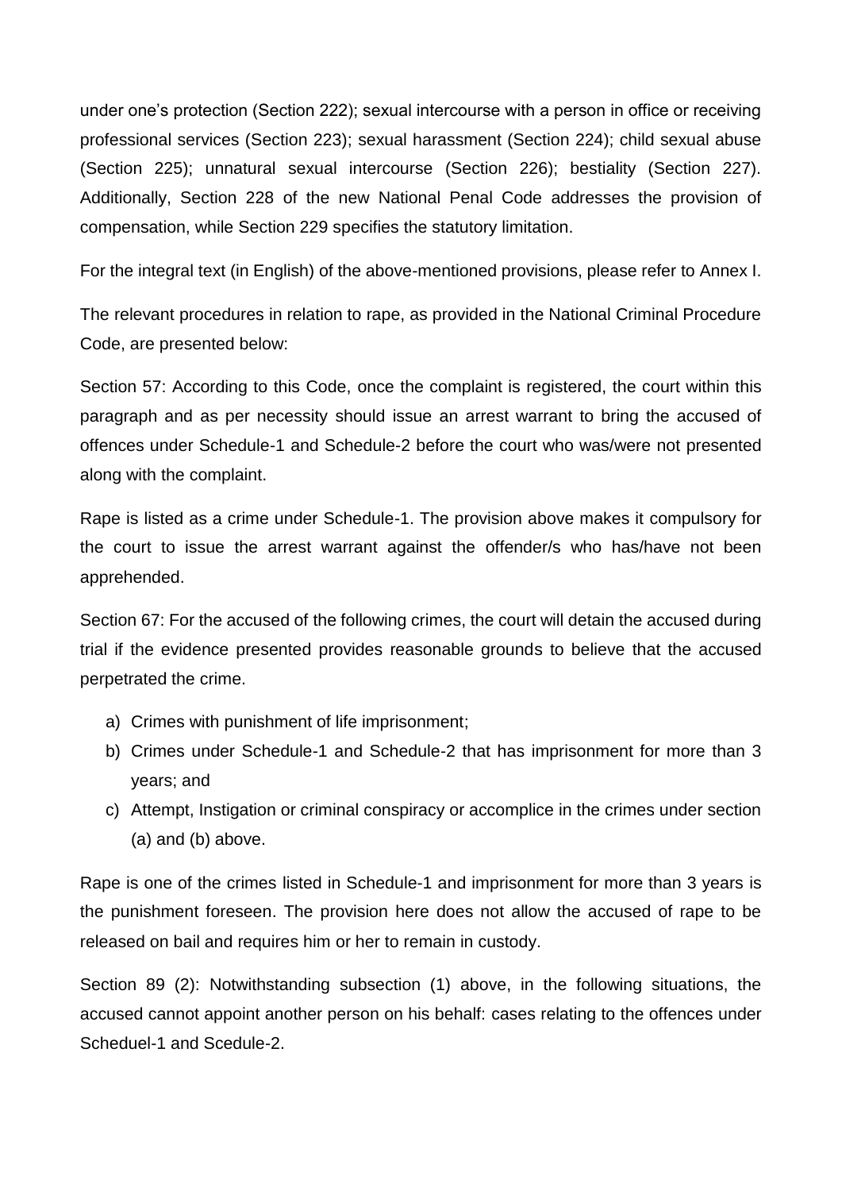under one's protection (Section 222); sexual intercourse with a person in office or receiving professional services (Section 223); sexual harassment (Section 224); child sexual abuse (Section 225); unnatural sexual intercourse (Section 226); bestiality (Section 227). Additionally, Section 228 of the new National Penal Code addresses the provision of compensation, while Section 229 specifies the statutory limitation.

For the integral text (in English) of the above-mentioned provisions, please refer to Annex I.

The relevant procedures in relation to rape, as provided in the National Criminal Procedure Code, are presented below:

Section 57: According to this Code, once the complaint is registered, the court within this paragraph and as per necessity should issue an arrest warrant to bring the accused of offences under Schedule-1 and Schedule-2 before the court who was/were not presented along with the complaint.

Rape is listed as a crime under Schedule-1. The provision above makes it compulsory for the court to issue the arrest warrant against the offender/s who has/have not been apprehended.

Section 67: For the accused of the following crimes, the court will detain the accused during trial if the evidence presented provides reasonable grounds to believe that the accused perpetrated the crime.

- a) Crimes with punishment of life imprisonment;
- b) Crimes under Schedule-1 and Schedule-2 that has imprisonment for more than 3 years; and
- c) Attempt, Instigation or criminal conspiracy or accomplice in the crimes under section (a) and (b) above.

Rape is one of the crimes listed in Schedule-1 and imprisonment for more than 3 years is the punishment foreseen. The provision here does not allow the accused of rape to be released on bail and requires him or her to remain in custody.

Section 89 (2): Notwithstanding subsection (1) above, in the following situations, the accused cannot appoint another person on his behalf: cases relating to the offences under Scheduel-1 and Scedule-2.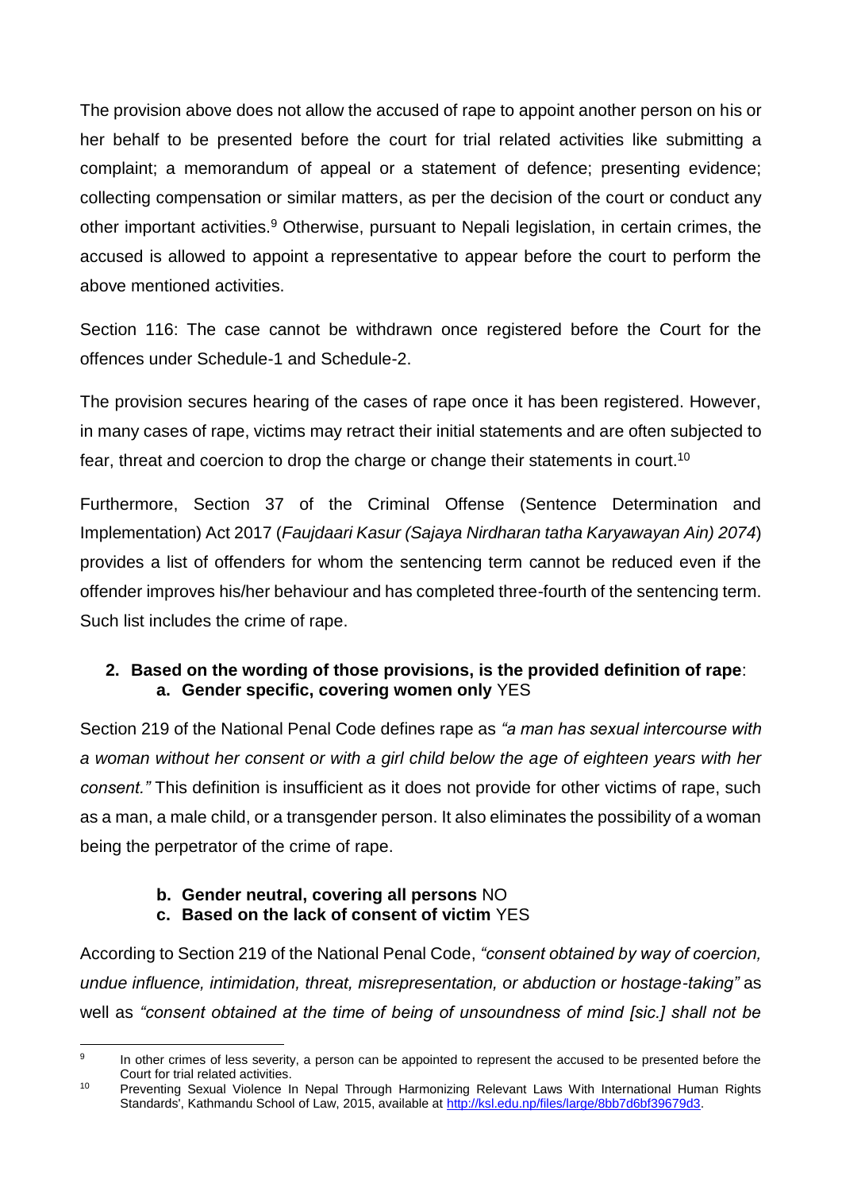The provision above does not allow the accused of rape to appoint another person on his or her behalf to be presented before the court for trial related activities like submitting a complaint; a memorandum of appeal or a statement of defence; presenting evidence; collecting compensation or similar matters, as per the decision of the court or conduct any other important activities.<sup>9</sup> Otherwise, pursuant to Nepali legislation, in certain crimes, the accused is allowed to appoint a representative to appear before the court to perform the above mentioned activities.

Section 116: The case cannot be withdrawn once registered before the Court for the offences under Schedule-1 and Schedule-2.

The provision secures hearing of the cases of rape once it has been registered. However, in many cases of rape, victims may retract their initial statements and are often subjected to fear, threat and coercion to drop the charge or change their statements in court.<sup>10</sup>

Furthermore, Section 37 of the Criminal Offense (Sentence Determination and Implementation) Act 2017 (*Faujdaari Kasur (Sajaya Nirdharan tatha Karyawayan Ain) 2074*) provides a list of offenders for whom the sentencing term cannot be reduced even if the offender improves his/her behaviour and has completed three-fourth of the sentencing term. Such list includes the crime of rape.

### **2. Based on the wording of those provisions, is the provided definition of rape**: **a. Gender specific, covering women only** YES

Section 219 of the National Penal Code defines rape as *"a man has sexual intercourse with a woman without her consent or with a girl child below the age of eighteen years with her consent."* This definition is insufficient as it does not provide for other victims of rape, such as a man, a male child, or a transgender person. It also eliminates the possibility of a woman being the perpetrator of the crime of rape.

# **b. Gender neutral, covering all persons** NO

# **c. Based on the lack of consent of victim** YES

According to Section 219 of the National Penal Code, *"consent obtained by way of coercion, undue influence, intimidation, threat, misrepresentation, or abduction or hostage-taking"* as well as *"consent obtained at the time of being of unsoundness of mind [sic.] shall not be* 

<sup>-&</sup>lt;br>9 In other crimes of less severity, a person can be appointed to represent the accused to be presented before the Court for trial related activities.

<sup>&</sup>lt;sup>10</sup> Preventing Sexual Violence In Nepal Through Harmonizing Relevant Laws With International Human Rights Standards', Kathmandu School of Law, 2015, available at [http://ksl.edu.np/files/large/8bb7d6bf39679d3.](http://ksl.edu.np/files/large/8bb7d6bf39679d3)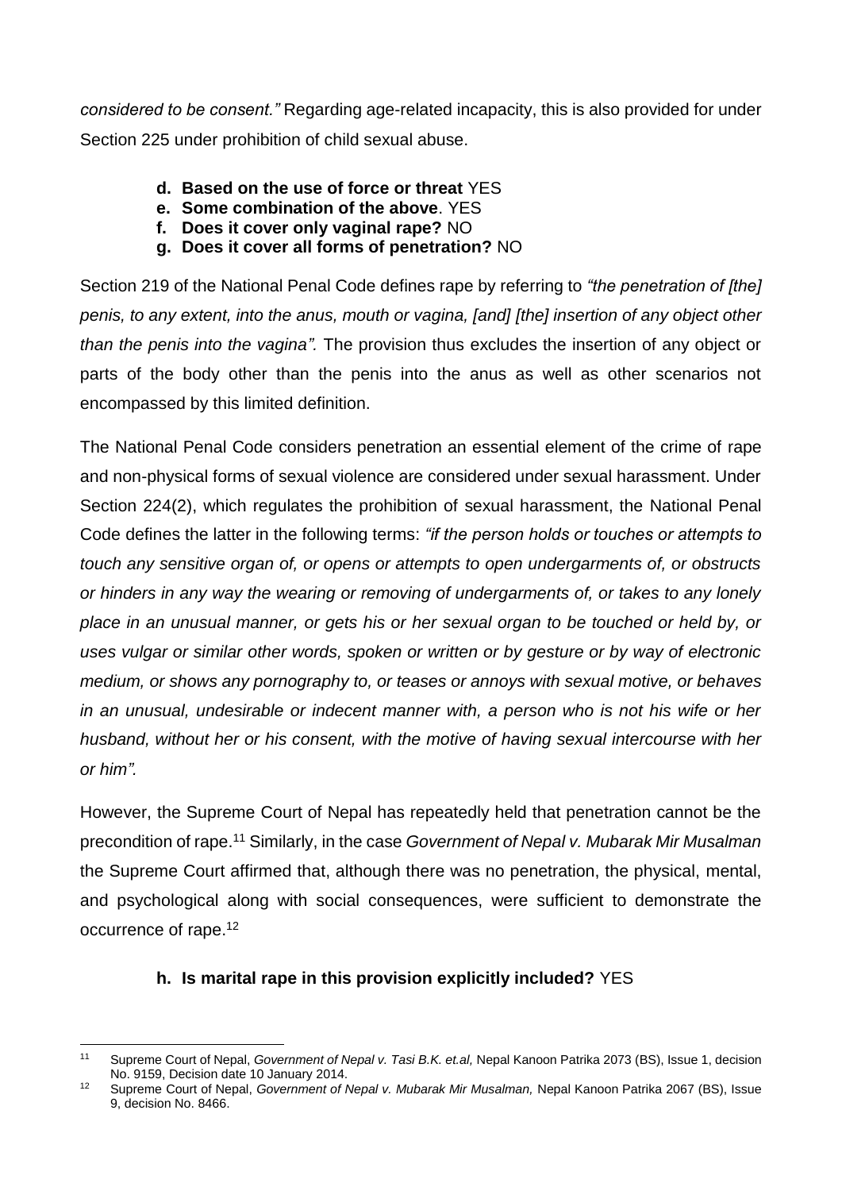*considered to be consent."* Regarding age-related incapacity, this is also provided for under Section 225 under prohibition of child sexual abuse.

- **d. Based on the use of force or threat** YES
- **e. Some combination of the above**. YES
- **f. Does it cover only vaginal rape?** NO
- **g. Does it cover all forms of penetration?** NO

Section 219 of the National Penal Code defines rape by referring to *"the penetration of [the] penis, to any extent, into the anus, mouth or vagina, [and] [the] insertion of any object other than the penis into the vagina".* The provision thus excludes the insertion of any object or parts of the body other than the penis into the anus as well as other scenarios not encompassed by this limited definition.

The National Penal Code considers penetration an essential element of the crime of rape and non-physical forms of sexual violence are considered under sexual harassment. Under Section 224(2), which regulates the prohibition of sexual harassment, the National Penal Code defines the latter in the following terms: *"if the person holds or touches or attempts to touch any sensitive organ of, or opens or attempts to open undergarments of, or obstructs or hinders in any way the wearing or removing of undergarments of, or takes to any lonely place in an unusual manner, or gets his or her sexual organ to be touched or held by, or uses vulgar or similar other words, spoken or written or by gesture or by way of electronic medium, or shows any pornography to, or teases or annoys with sexual motive, or behaves in an unusual, undesirable or indecent manner with, a person who is not his wife or her husband, without her or his consent, with the motive of having sexual intercourse with her or him".*

However, the Supreme Court of Nepal has repeatedly held that penetration cannot be the precondition of rape.<sup>11</sup> Similarly, in the case *Government of Nepal v. Mubarak Mir Musalman*  the Supreme Court affirmed that, although there was no penetration, the physical, mental, and psychological along with social consequences, were sufficient to demonstrate the occurrence of rape.<sup>12</sup>

# **h. Is marital rape in this provision explicitly included?** YES

 $11$ Supreme Court of Nepal, *Government of Nepal v. Tasi B.K. et.al*, Nepal Kanoon Patrika 2073 (BS), Issue 1, decision No. 9159, Decision date 10 January 2014.

<sup>12</sup> Supreme Court of Nepal, *Government of Nepal v. Mubarak Mir Musalman,* Nepal Kanoon Patrika 2067 (BS), Issue 9, decision No. 8466.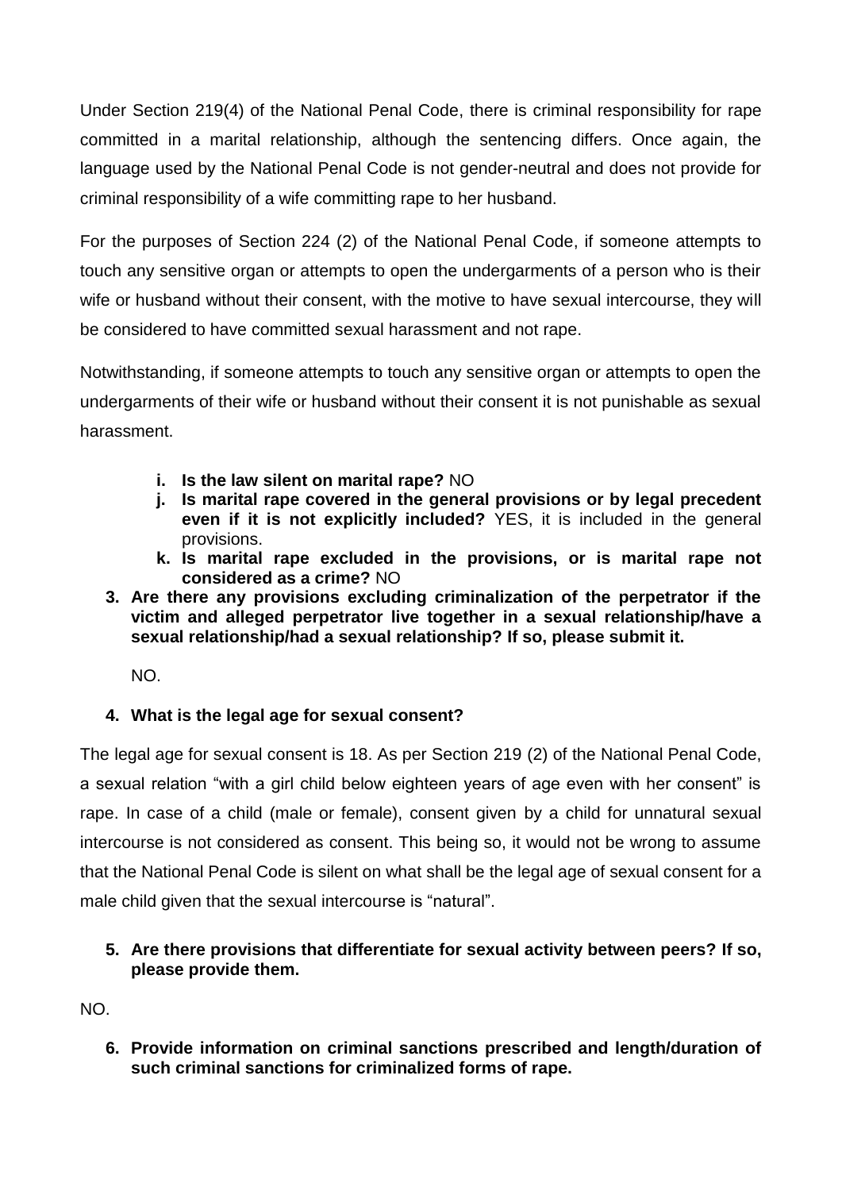Under Section 219(4) of the National Penal Code, there is criminal responsibility for rape committed in a marital relationship, although the sentencing differs. Once again, the language used by the National Penal Code is not gender-neutral and does not provide for criminal responsibility of a wife committing rape to her husband.

For the purposes of Section 224 (2) of the National Penal Code, if someone attempts to touch any sensitive organ or attempts to open the undergarments of a person who is their wife or husband without their consent, with the motive to have sexual intercourse, they will be considered to have committed sexual harassment and not rape.

Notwithstanding, if someone attempts to touch any sensitive organ or attempts to open the undergarments of their wife or husband without their consent it is not punishable as sexual harassment.

- **i. Is the law silent on marital rape?** NO
- **j. Is marital rape covered in the general provisions or by legal precedent even if it is not explicitly included?** YES, it is included in the general provisions.
- **k. Is marital rape excluded in the provisions, or is marital rape not considered as a crime?** NO
- **3. Are there any provisions excluding criminalization of the perpetrator if the victim and alleged perpetrator live together in a sexual relationship/have a sexual relationship/had a sexual relationship? If so, please submit it.**

NO.

# **4. What is the legal age for sexual consent?**

The legal age for sexual consent is 18. As per Section 219 (2) of the National Penal Code, a sexual relation "with a girl child below eighteen years of age even with her consent" is rape. In case of a child (male or female), consent given by a child for unnatural sexual intercourse is not considered as consent. This being so, it would not be wrong to assume that the National Penal Code is silent on what shall be the legal age of sexual consent for a male child given that the sexual intercourse is "natural".

### **5. Are there provisions that differentiate for sexual activity between peers? If so, please provide them.**

NO.

**6. Provide information on criminal sanctions prescribed and length/duration of such criminal sanctions for criminalized forms of rape.**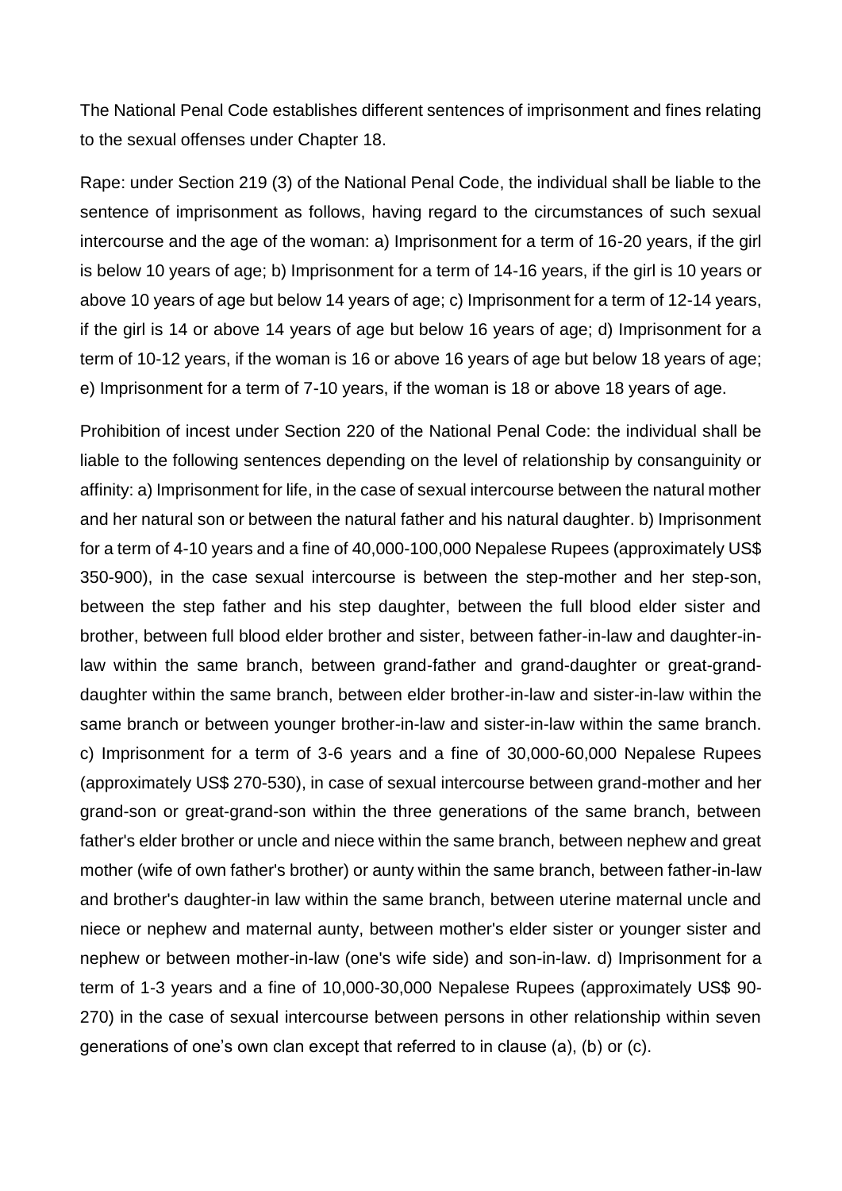The National Penal Code establishes different sentences of imprisonment and fines relating to the sexual offenses under Chapter 18.

Rape: under Section 219 (3) of the National Penal Code, the individual shall be liable to the sentence of imprisonment as follows, having regard to the circumstances of such sexual intercourse and the age of the woman: a) Imprisonment for a term of 16-20 years, if the girl is below 10 years of age; b) Imprisonment for a term of 14-16 years, if the girl is 10 years or above 10 years of age but below 14 years of age; c) Imprisonment for a term of 12-14 years, if the girl is 14 or above 14 years of age but below 16 years of age; d) Imprisonment for a term of 10-12 years, if the woman is 16 or above 16 years of age but below 18 years of age; e) Imprisonment for a term of 7-10 years, if the woman is 18 or above 18 years of age.

Prohibition of incest under Section 220 of the National Penal Code: the individual shall be liable to the following sentences depending on the level of relationship by consanguinity or affinity: a) Imprisonment for life, in the case of sexual intercourse between the natural mother and her natural son or between the natural father and his natural daughter. b) Imprisonment for a term of 4-10 years and a fine of 40,000-100,000 Nepalese Rupees (approximately US\$ 350-900), in the case sexual intercourse is between the step-mother and her step-son, between the step father and his step daughter, between the full blood elder sister and brother, between full blood elder brother and sister, between father-in-law and daughter-inlaw within the same branch, between grand-father and grand-daughter or great-granddaughter within the same branch, between elder brother-in-law and sister-in-law within the same branch or between younger brother-in-law and sister-in-law within the same branch. c) Imprisonment for a term of 3-6 years and a fine of 30,000-60,000 Nepalese Rupees (approximately US\$ 270-530), in case of sexual intercourse between grand-mother and her grand-son or great-grand-son within the three generations of the same branch, between father's elder brother or uncle and niece within the same branch, between nephew and great mother (wife of own father's brother) or aunty within the same branch, between father-in-law and brother's daughter-in law within the same branch, between uterine maternal uncle and niece or nephew and maternal aunty, between mother's elder sister or younger sister and nephew or between mother-in-law (one's wife side) and son-in-law. d) Imprisonment for a term of 1-3 years and a fine of 10,000-30,000 Nepalese Rupees (approximately US\$ 90- 270) in the case of sexual intercourse between persons in other relationship within seven generations of one's own clan except that referred to in clause (a), (b) or (c).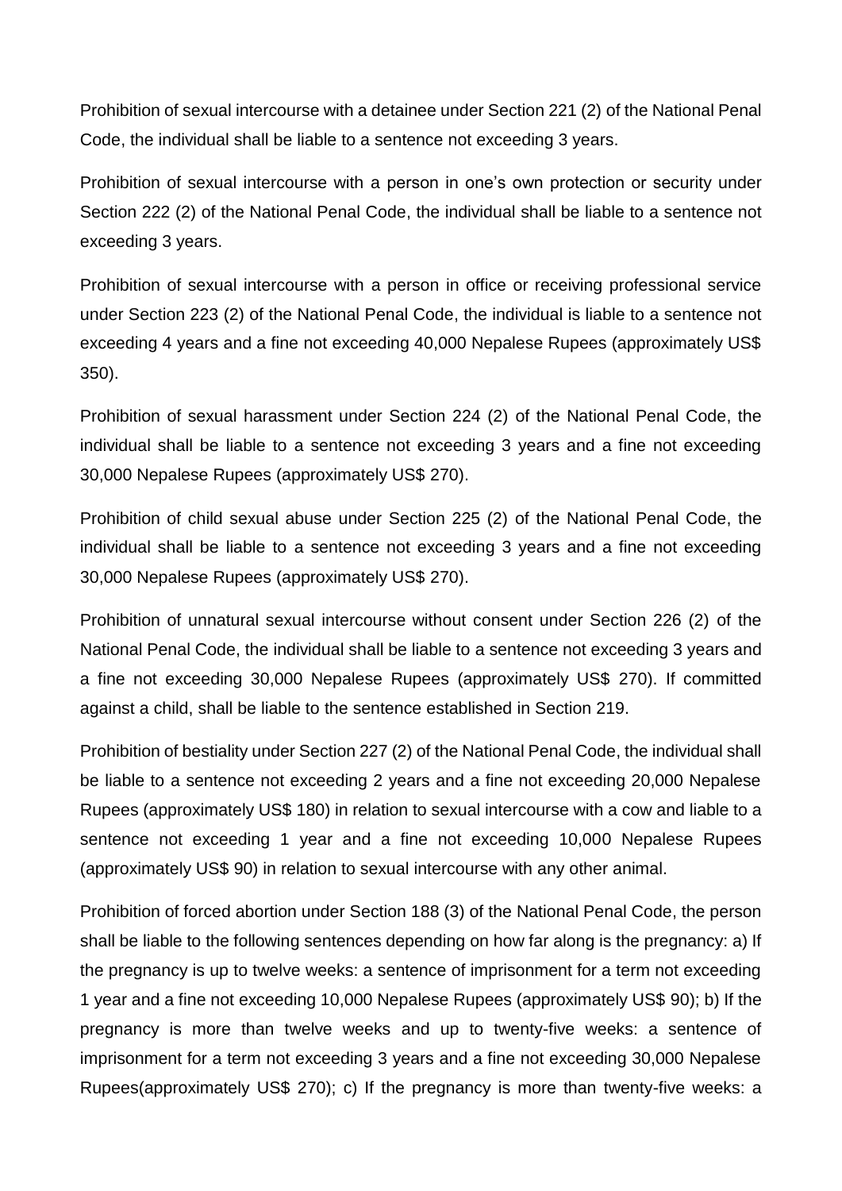Prohibition of sexual intercourse with a detainee under Section 221 (2) of the National Penal Code, the individual shall be liable to a sentence not exceeding 3 years.

Prohibition of sexual intercourse with a person in one's own protection or security under Section 222 (2) of the National Penal Code, the individual shall be liable to a sentence not exceeding 3 years.

Prohibition of sexual intercourse with a person in office or receiving professional service under Section 223 (2) of the National Penal Code, the individual is liable to a sentence not exceeding 4 years and a fine not exceeding 40,000 Nepalese Rupees (approximately US\$ 350).

Prohibition of sexual harassment under Section 224 (2) of the National Penal Code, the individual shall be liable to a sentence not exceeding 3 years and a fine not exceeding 30,000 Nepalese Rupees (approximately US\$ 270).

Prohibition of child sexual abuse under Section 225 (2) of the National Penal Code, the individual shall be liable to a sentence not exceeding 3 years and a fine not exceeding 30,000 Nepalese Rupees (approximately US\$ 270).

Prohibition of unnatural sexual intercourse without consent under Section 226 (2) of the National Penal Code, the individual shall be liable to a sentence not exceeding 3 years and a fine not exceeding 30,000 Nepalese Rupees (approximately US\$ 270). If committed against a child, shall be liable to the sentence established in Section 219.

Prohibition of bestiality under Section 227 (2) of the National Penal Code, the individual shall be liable to a sentence not exceeding 2 years and a fine not exceeding 20,000 Nepalese Rupees (approximately US\$ 180) in relation to sexual intercourse with a cow and liable to a sentence not exceeding 1 year and a fine not exceeding 10,000 Nepalese Rupees (approximately US\$ 90) in relation to sexual intercourse with any other animal.

Prohibition of forced abortion under Section 188 (3) of the National Penal Code, the person shall be liable to the following sentences depending on how far along is the pregnancy: a) If the pregnancy is up to twelve weeks: a sentence of imprisonment for a term not exceeding 1 year and a fine not exceeding 10,000 Nepalese Rupees (approximately US\$ 90); b) If the pregnancy is more than twelve weeks and up to twenty-five weeks: a sentence of imprisonment for a term not exceeding 3 years and a fine not exceeding 30,000 Nepalese Rupees(approximately US\$ 270); c) If the pregnancy is more than twenty-five weeks: a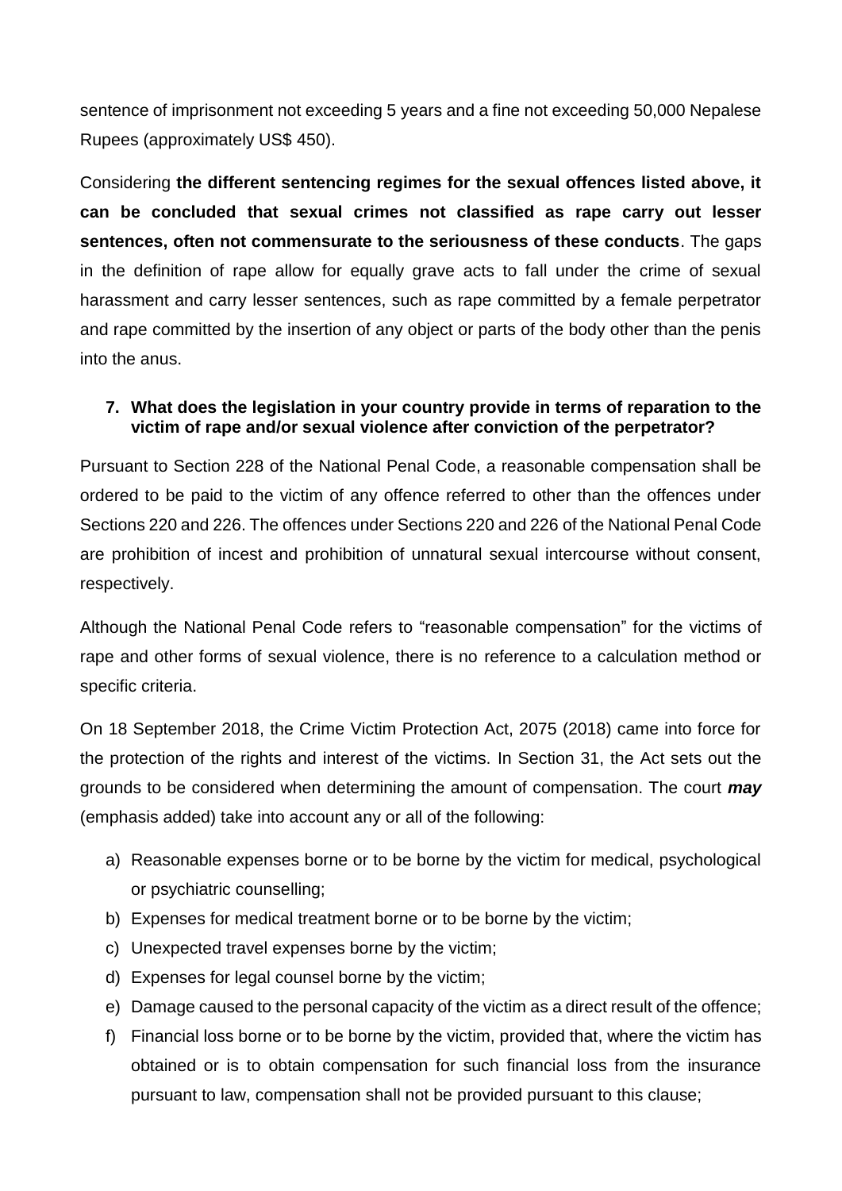sentence of imprisonment not exceeding 5 years and a fine not exceeding 50,000 Nepalese Rupees (approximately US\$ 450).

Considering **the different sentencing regimes for the sexual offences listed above, it can be concluded that sexual crimes not classified as rape carry out lesser sentences, often not commensurate to the seriousness of these conducts**. The gaps in the definition of rape allow for equally grave acts to fall under the crime of sexual harassment and carry lesser sentences, such as rape committed by a female perpetrator and rape committed by the insertion of any object or parts of the body other than the penis into the anus.

### **7. What does the legislation in your country provide in terms of reparation to the victim of rape and/or sexual violence after conviction of the perpetrator?**

Pursuant to Section 228 of the National Penal Code, a reasonable compensation shall be ordered to be paid to the victim of any offence referred to other than the offences under Sections 220 and 226. The offences under Sections 220 and 226 of the National Penal Code are prohibition of incest and prohibition of unnatural sexual intercourse without consent, respectively.

Although the National Penal Code refers to "reasonable compensation" for the victims of rape and other forms of sexual violence, there is no reference to a calculation method or specific criteria.

On 18 September 2018, the Crime Victim Protection Act, 2075 (2018) came into force for the protection of the rights and interest of the victims. In Section 31, the Act sets out the grounds to be considered when determining the amount of compensation. The court *may* (emphasis added) take into account any or all of the following:

- a) Reasonable expenses borne or to be borne by the victim for medical, psychological or psychiatric counselling;
- b) Expenses for medical treatment borne or to be borne by the victim;
- c) Unexpected travel expenses borne by the victim;
- d) Expenses for legal counsel borne by the victim;
- e) Damage caused to the personal capacity of the victim as a direct result of the offence;
- f) Financial loss borne or to be borne by the victim, provided that, where the victim has obtained or is to obtain compensation for such financial loss from the insurance pursuant to law, compensation shall not be provided pursuant to this clause;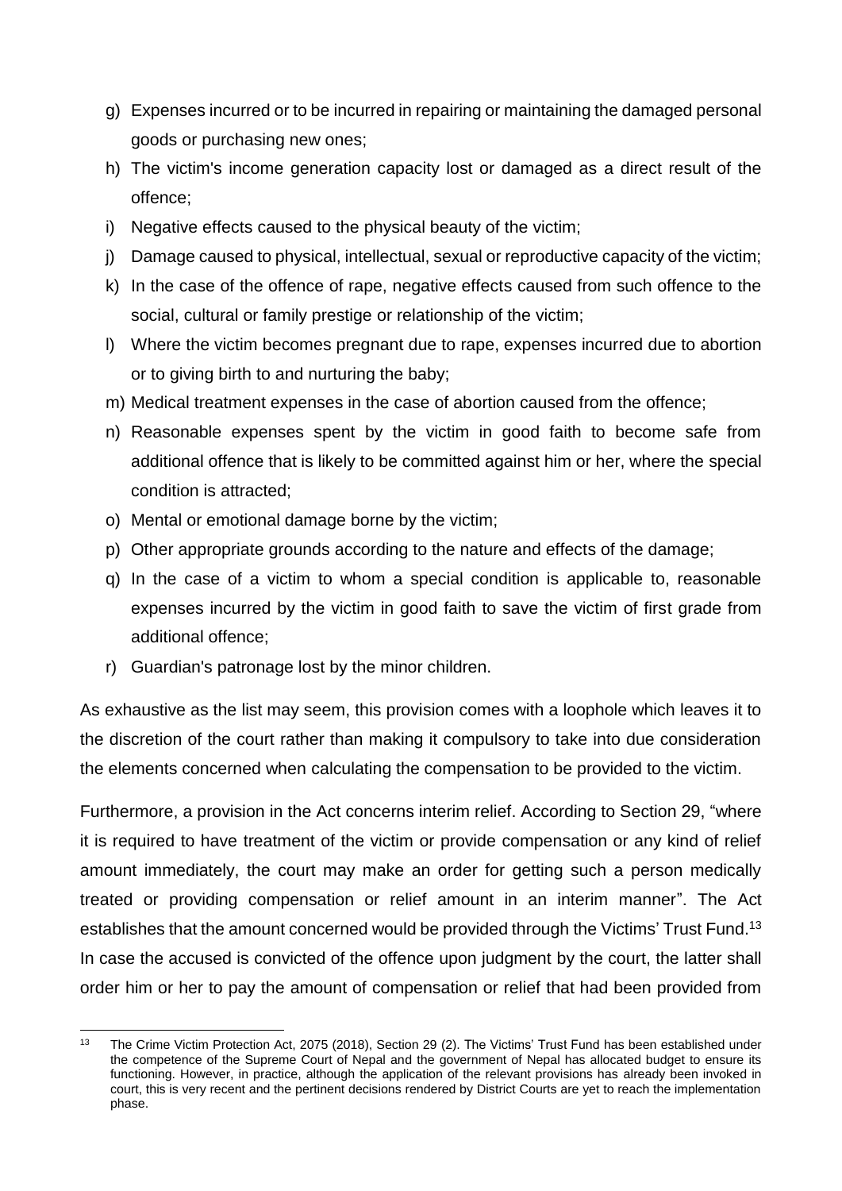- g) Expenses incurred or to be incurred in repairing or maintaining the damaged personal goods or purchasing new ones;
- h) The victim's income generation capacity lost or damaged as a direct result of the offence;
- i) Negative effects caused to the physical beauty of the victim;
- j) Damage caused to physical, intellectual, sexual or reproductive capacity of the victim;
- k) In the case of the offence of rape, negative effects caused from such offence to the social, cultural or family prestige or relationship of the victim;
- l) Where the victim becomes pregnant due to rape, expenses incurred due to abortion or to giving birth to and nurturing the baby;
- m) Medical treatment expenses in the case of abortion caused from the offence;
- n) Reasonable expenses spent by the victim in good faith to become safe from additional offence that is likely to be committed against him or her, where the special condition is attracted;
- o) Mental or emotional damage borne by the victim;
- p) Other appropriate grounds according to the nature and effects of the damage;
- q) In the case of a victim to whom a special condition is applicable to, reasonable expenses incurred by the victim in good faith to save the victim of first grade from additional offence;
- r) Guardian's patronage lost by the minor children.

1

As exhaustive as the list may seem, this provision comes with a loophole which leaves it to the discretion of the court rather than making it compulsory to take into due consideration the elements concerned when calculating the compensation to be provided to the victim.

Furthermore, a provision in the Act concerns interim relief. According to Section 29, "where it is required to have treatment of the victim or provide compensation or any kind of relief amount immediately, the court may make an order for getting such a person medically treated or providing compensation or relief amount in an interim manner". The Act establishes that the amount concerned would be provided through the Victims' Trust Fund.<sup>13</sup> In case the accused is convicted of the offence upon judgment by the court, the latter shall order him or her to pay the amount of compensation or relief that had been provided from

<sup>&</sup>lt;sup>13</sup> The Crime Victim Protection Act, 2075 (2018), Section 29 (2). The Victims' Trust Fund has been established under the competence of the Supreme Court of Nepal and the government of Nepal has allocated budget to ensure its functioning. However, in practice, although the application of the relevant provisions has already been invoked in court, this is very recent and the pertinent decisions rendered by District Courts are yet to reach the implementation phase.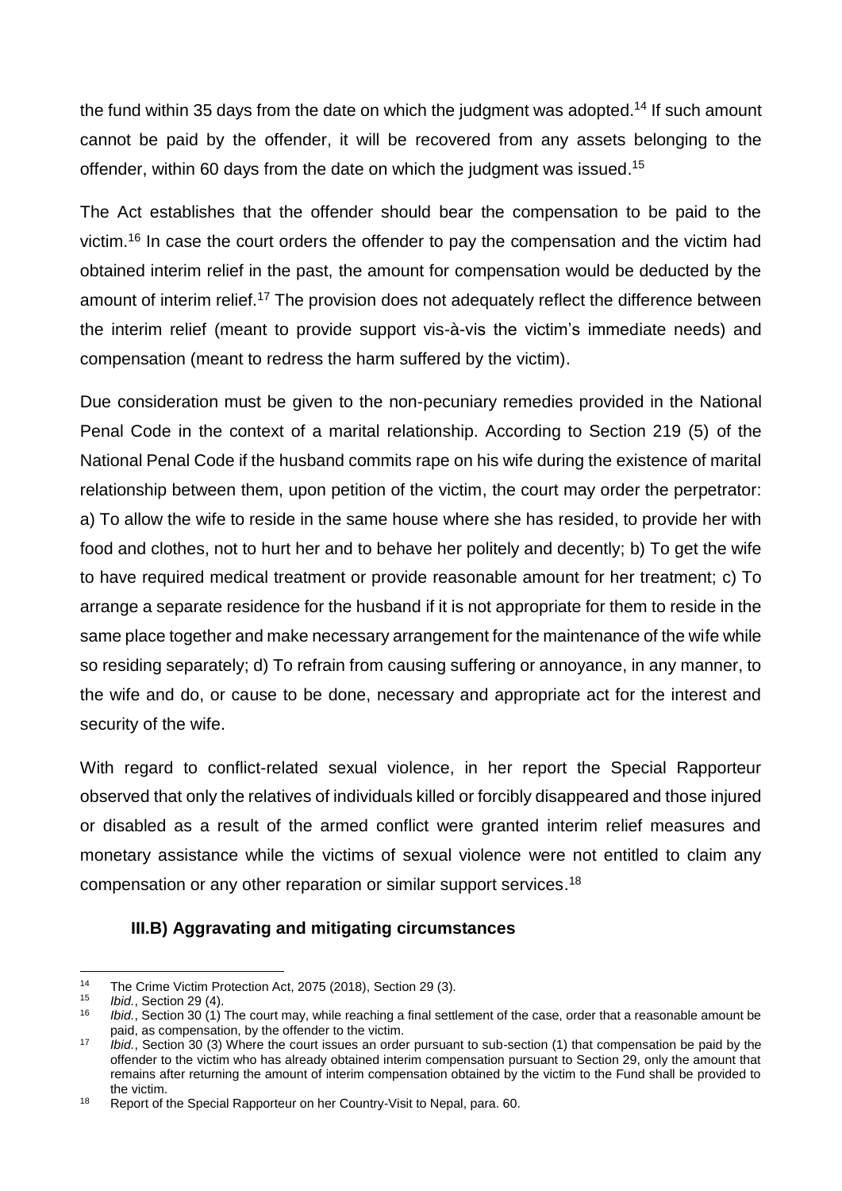the fund within 35 days from the date on which the judgment was adopted.<sup>14</sup> If such amount cannot be paid by the offender, it will be recovered from any assets belonging to the offender, within 60 days from the date on which the judgment was issued. 15

The Act establishes that the offender should bear the compensation to be paid to the victim.<sup>16</sup> In case the court orders the offender to pay the compensation and the victim had obtained interim relief in the past, the amount for compensation would be deducted by the amount of interim relief.<sup>17</sup> The provision does not adequately reflect the difference between the interim relief (meant to provide support vis-à-vis the victim's immediate needs) and compensation (meant to redress the harm suffered by the victim).

Due consideration must be given to the non-pecuniary remedies provided in the National Penal Code in the context of a marital relationship. According to Section 219 (5) of the National Penal Code if the husband commits rape on his wife during the existence of marital relationship between them, upon petition of the victim, the court may order the perpetrator: a) To allow the wife to reside in the same house where she has resided, to provide her with food and clothes, not to hurt her and to behave her politely and decently; b) To get the wife to have required medical treatment or provide reasonable amount for her treatment; c) To arrange a separate residence for the husband if it is not appropriate for them to reside in the same place together and make necessary arrangement for the maintenance of the wife while so residing separately; d) To refrain from causing suffering or annoyance, in any manner, to the wife and do, or cause to be done, necessary and appropriate act for the interest and security of the wife.

With regard to conflict-related sexual violence, in her report the Special Rapporteur observed that only the relatives of individuals killed or forcibly disappeared and those injured or disabled as a result of the armed conflict were granted interim relief measures and monetary assistance while the victims of sexual violence were not entitled to claim any compensation or any other reparation or similar support services.<sup>18</sup>

### **III.B) Aggravating and mitigating circumstances**

 $14$ <sup>14</sup> The Crime Victim Protection Act, 2075 (2018), Section 29 (3).

<sup>15</sup> *Ibid.*, Section 29 (4).

*Ibid.*, Section 30 (1) The court may, while reaching a final settlement of the case, order that a reasonable amount be paid, as compensation, by the offender to the victim.

<sup>17</sup> *Ibid.*, Section 30 (3) Where the court issues an order pursuant to sub-section (1) that compensation be paid by the offender to the victim who has already obtained interim compensation pursuant to Section 29, only the amount that remains after returning the amount of interim compensation obtained by the victim to the Fund shall be provided to the victim.

<sup>18</sup> Report of the Special Rapporteur on her Country-Visit to Nepal, para. 60.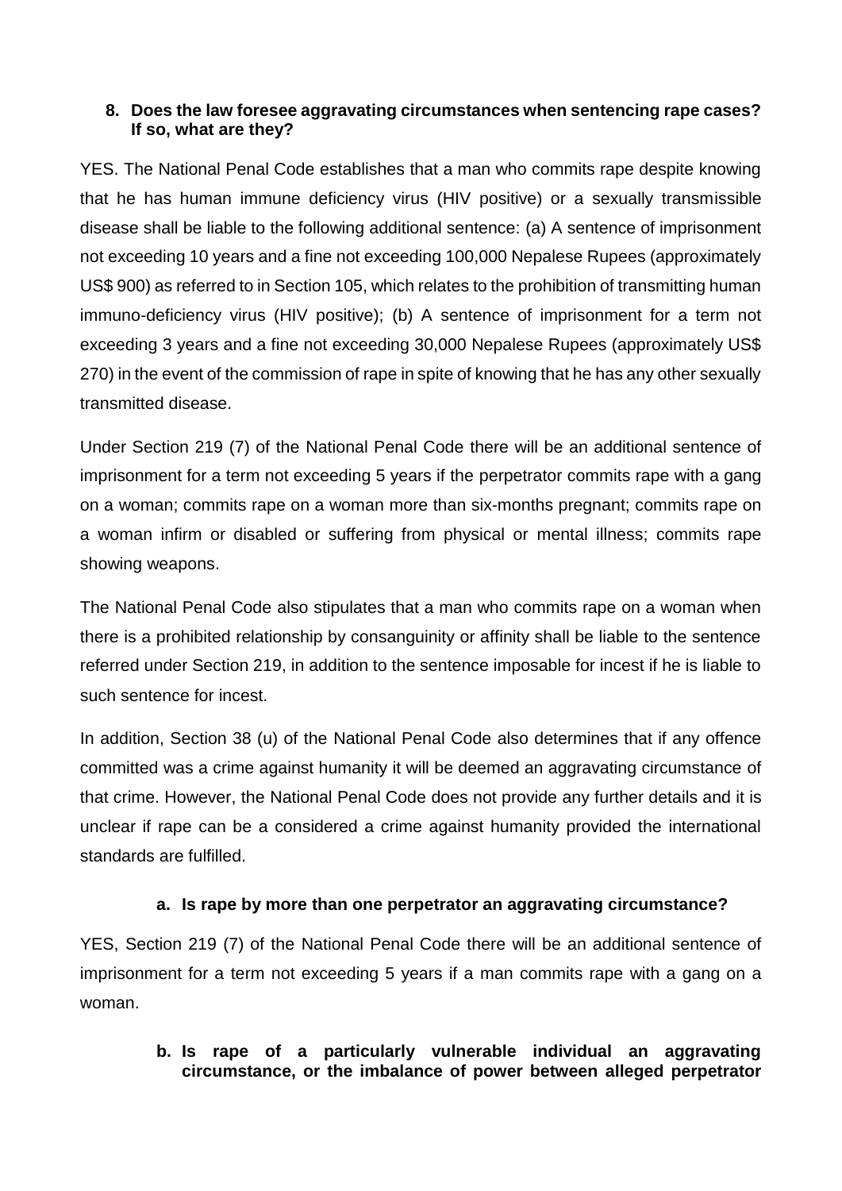### **8. Does the law foresee aggravating circumstances when sentencing rape cases? If so, what are they?**

YES. The National Penal Code establishes that a man who commits rape despite knowing that he has human immune deficiency virus (HIV positive) or a sexually transmissible disease shall be liable to the following additional sentence: (a) A sentence of imprisonment not exceeding 10 years and a fine not exceeding 100,000 Nepalese Rupees (approximately US\$ 900) as referred to in Section 105, which relates to the prohibition of transmitting human immuno-deficiency virus (HIV positive); (b) A sentence of imprisonment for a term not exceeding 3 years and a fine not exceeding 30,000 Nepalese Rupees (approximately US\$ 270) in the event of the commission of rape in spite of knowing that he has any other sexually transmitted disease.

Under Section 219 (7) of the National Penal Code there will be an additional sentence of imprisonment for a term not exceeding 5 years if the perpetrator commits rape with a gang on a woman; commits rape on a woman more than six-months pregnant; commits rape on a woman infirm or disabled or suffering from physical or mental illness; commits rape showing weapons.

The National Penal Code also stipulates that a man who commits rape on a woman when there is a prohibited relationship by consanguinity or affinity shall be liable to the sentence referred under Section 219, in addition to the sentence imposable for incest if he is liable to such sentence for incest.

In addition, Section 38 (u) of the National Penal Code also determines that if any offence committed was a crime against humanity it will be deemed an aggravating circumstance of that crime. However, the National Penal Code does not provide any further details and it is unclear if rape can be a considered a crime against humanity provided the international standards are fulfilled.

### **a. Is rape by more than one perpetrator an aggravating circumstance?**

YES, Section 219 (7) of the National Penal Code there will be an additional sentence of imprisonment for a term not exceeding 5 years if a man commits rape with a gang on a woman.

### **b. Is rape of a particularly vulnerable individual an aggravating circumstance, or the imbalance of power between alleged perpetrator**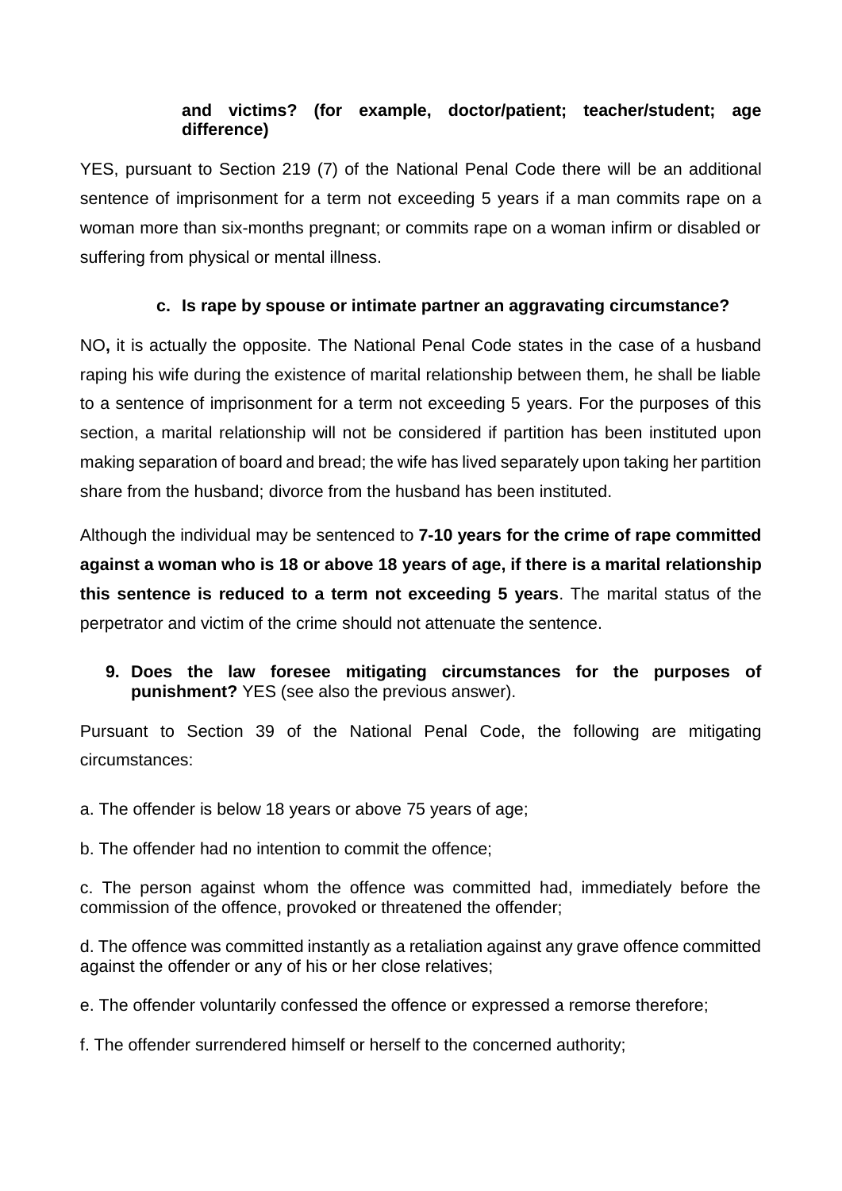### **and victims? (for example, doctor/patient; teacher/student; age difference)**

YES, pursuant to Section 219 (7) of the National Penal Code there will be an additional sentence of imprisonment for a term not exceeding 5 years if a man commits rape on a woman more than six-months pregnant; or commits rape on a woman infirm or disabled or suffering from physical or mental illness.

### **c. Is rape by spouse or intimate partner an aggravating circumstance?**

NO**,** it is actually the opposite. The National Penal Code states in the case of a husband raping his wife during the existence of marital relationship between them, he shall be liable to a sentence of imprisonment for a term not exceeding 5 years. For the purposes of this section, a marital relationship will not be considered if partition has been instituted upon making separation of board and bread; the wife has lived separately upon taking her partition share from the husband; divorce from the husband has been instituted.

Although the individual may be sentenced to **7-10 years for the crime of rape committed against a woman who is 18 or above 18 years of age, if there is a marital relationship this sentence is reduced to a term not exceeding 5 years**. The marital status of the perpetrator and victim of the crime should not attenuate the sentence.

**9. Does the law foresee mitigating circumstances for the purposes of punishment?** YES (see also the previous answer).

Pursuant to Section 39 of the National Penal Code, the following are mitigating circumstances:

a. The offender is below 18 years or above 75 years of age;

b. The offender had no intention to commit the offence;

c. The person against whom the offence was committed had, immediately before the commission of the offence, provoked or threatened the offender;

d. The offence was committed instantly as a retaliation against any grave offence committed against the offender or any of his or her close relatives;

e. The offender voluntarily confessed the offence or expressed a remorse therefore;

f. The offender surrendered himself or herself to the concerned authority;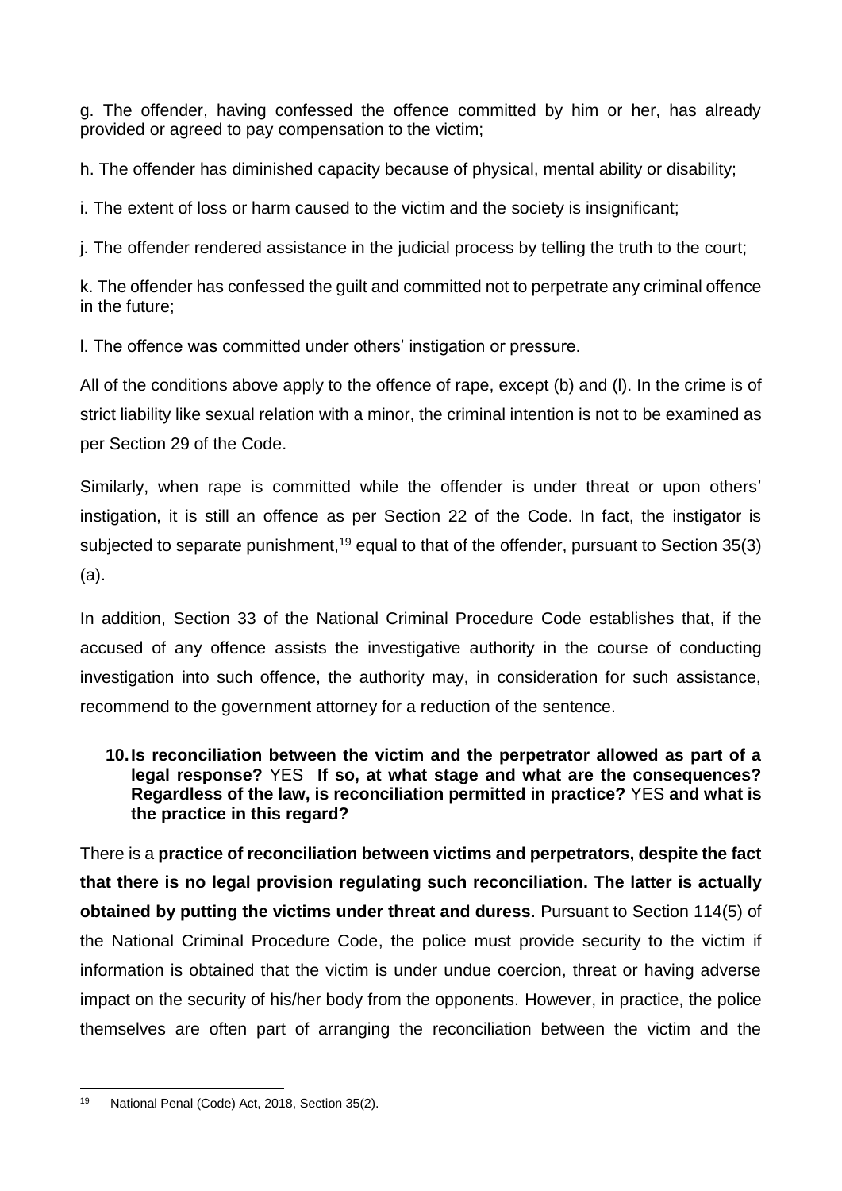g. The offender, having confessed the offence committed by him or her, has already provided or agreed to pay compensation to the victim;

h. The offender has diminished capacity because of physical, mental ability or disability;

i. The extent of loss or harm caused to the victim and the society is insignificant;

j. The offender rendered assistance in the judicial process by telling the truth to the court;

k. The offender has confessed the guilt and committed not to perpetrate any criminal offence in the future;

l. The offence was committed under others' instigation or pressure.

All of the conditions above apply to the offence of rape, except (b) and (l). In the crime is of strict liability like sexual relation with a minor, the criminal intention is not to be examined as per Section 29 of the Code.

Similarly, when rape is committed while the offender is under threat or upon others' instigation, it is still an offence as per Section 22 of the Code. In fact, the instigator is subjected to separate punishment,<sup>19</sup> equal to that of the offender, pursuant to Section 35(3) (a).

In addition, Section 33 of the National Criminal Procedure Code establishes that, if the accused of any offence assists the investigative authority in the course of conducting investigation into such offence, the authority may, in consideration for such assistance, recommend to the government attorney for a reduction of the sentence.

### **10.Is reconciliation between the victim and the perpetrator allowed as part of a legal response?** YES **If so, at what stage and what are the consequences? Regardless of the law, is reconciliation permitted in practice?** YES **and what is the practice in this regard?**

There is a **practice of reconciliation between victims and perpetrators, despite the fact that there is no legal provision regulating such reconciliation. The latter is actually obtained by putting the victims under threat and duress**. Pursuant to Section 114(5) of the National Criminal Procedure Code, the police must provide security to the victim if information is obtained that the victim is under undue coercion, threat or having adverse impact on the security of his/her body from the opponents. However, in practice, the police themselves are often part of arranging the reconciliation between the victim and the

**<sup>.</sup>** <sup>19</sup> National Penal (Code) Act, 2018, Section 35(2).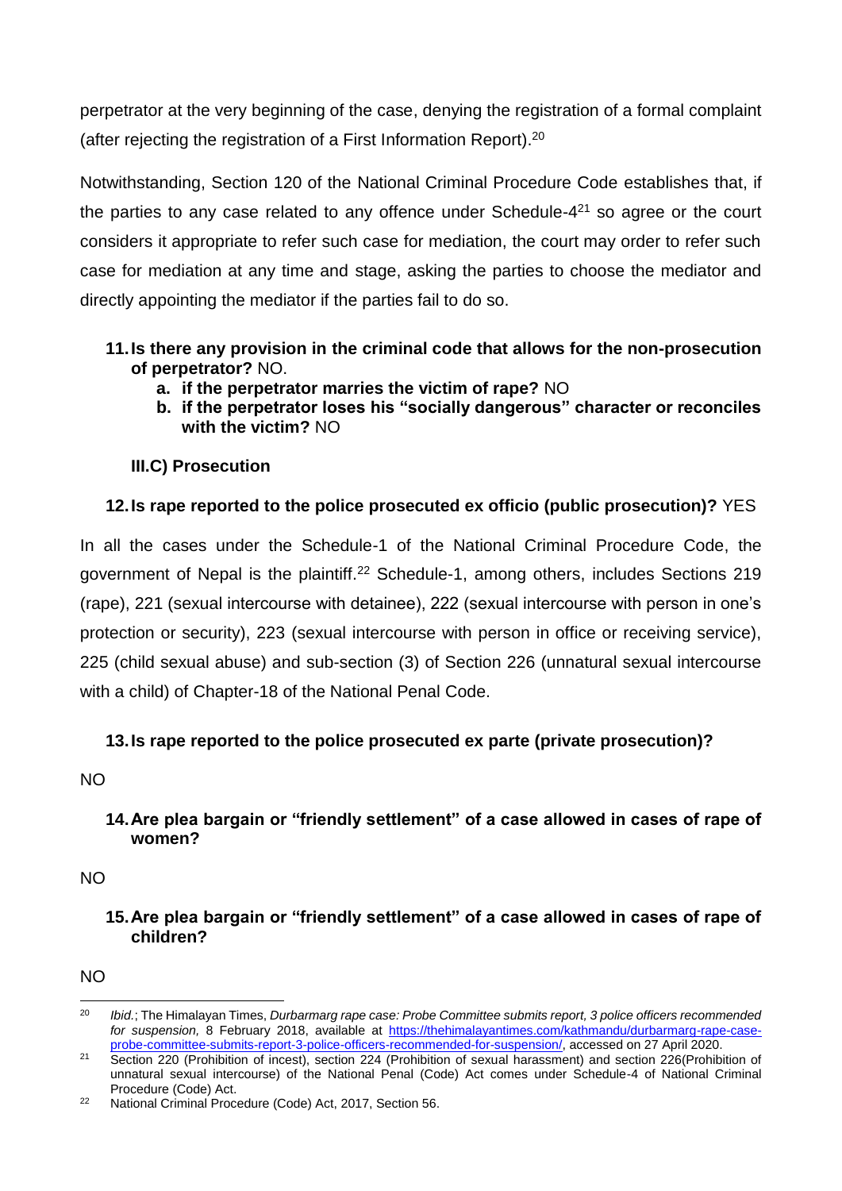perpetrator at the very beginning of the case, denying the registration of a formal complaint (after rejecting the registration of a First Information Report). 20

Notwithstanding, Section 120 of the National Criminal Procedure Code establishes that, if the parties to any case related to any offence under Schedule- $4<sup>21</sup>$  so agree or the court considers it appropriate to refer such case for mediation, the court may order to refer such case for mediation at any time and stage, asking the parties to choose the mediator and directly appointing the mediator if the parties fail to do so.

### **11.Is there any provision in the criminal code that allows for the non-prosecution of perpetrator?** NO.

- **a. if the perpetrator marries the victim of rape?** NO
- **b. if the perpetrator loses his "socially dangerous" character or reconciles with the victim?** NO

# **III.C) Prosecution**

# **12.Is rape reported to the police prosecuted ex officio (public prosecution)?** YES

In all the cases under the Schedule-1 of the National Criminal Procedure Code, the government of Nepal is the plaintiff.<sup>22</sup> Schedule-1, among others, includes Sections 219 (rape), 221 (sexual intercourse with detainee), 222 (sexual intercourse with person in one's protection or security), 223 (sexual intercourse with person in office or receiving service), 225 (child sexual abuse) and sub-section (3) of Section 226 (unnatural sexual intercourse with a child) of Chapter-18 of the National Penal Code.

# **13.Is rape reported to the police prosecuted ex parte (private prosecution)?**

NO

### **14.Are plea bargain or "friendly settlement" of a case allowed in cases of rape of women?**

NO

### **15.Are plea bargain or "friendly settlement" of a case allowed in cases of rape of children?**

 $N<sub>O</sub>$ 

 $20$ <sup>20</sup> *Ibid.*; The Himalayan Times, *Durbarmarg rape case: Probe Committee submits report, 3 police officers recommended for suspension,* 8 February 2018, available at [https://thehimalayantimes.com/kathmandu/durbarmarg-rape-case](https://thehimalayantimes.com/kathmandu/durbarmarg-rape-case-probe-committee-submits-report-3-police-officers-recommended-for-suspension/)[probe-committee-submits-report-3-police-officers-recommended-for-suspension/,](https://thehimalayantimes.com/kathmandu/durbarmarg-rape-case-probe-committee-submits-report-3-police-officers-recommended-for-suspension/) accessed on 27 April 2020.

<sup>&</sup>lt;sup>21</sup> Section 220 (Prohibition of incest), section 224 (Prohibition of sexual harassment) and section 226(Prohibition of unnatural sexual intercourse) of the National Penal (Code) Act comes under Schedule-4 of National Criminal Procedure (Code) Act.

<sup>&</sup>lt;sup>22</sup> National Criminal Procedure (Code) Act, 2017, Section 56.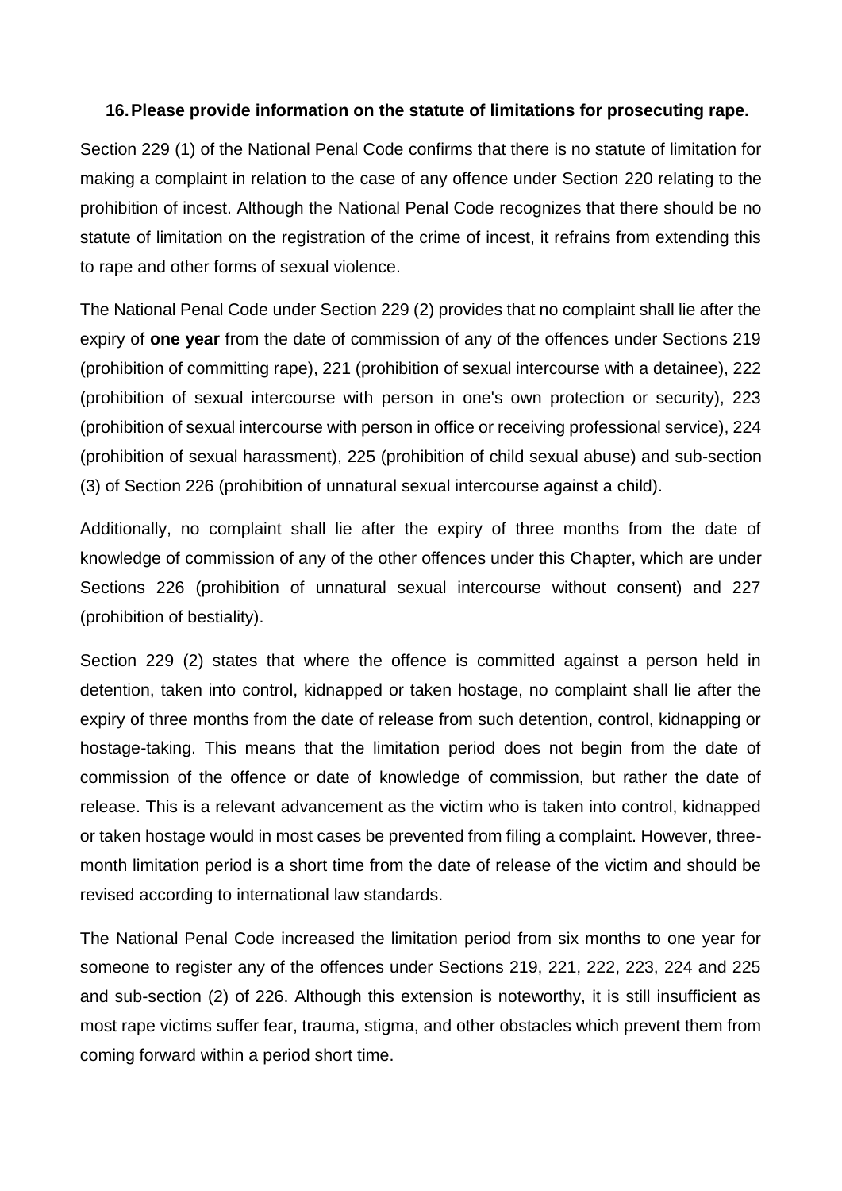### **16.Please provide information on the statute of limitations for prosecuting rape.**

Section 229 (1) of the National Penal Code confirms that there is no statute of limitation for making a complaint in relation to the case of any offence under Section 220 relating to the prohibition of incest. Although the National Penal Code recognizes that there should be no statute of limitation on the registration of the crime of incest, it refrains from extending this to rape and other forms of sexual violence.

The National Penal Code under Section 229 (2) provides that no complaint shall lie after the expiry of **one year** from the date of commission of any of the offences under Sections 219 (prohibition of committing rape), 221 (prohibition of sexual intercourse with a detainee), 222 (prohibition of sexual intercourse with person in one's own protection or security), 223 (prohibition of sexual intercourse with person in office or receiving professional service), 224 (prohibition of sexual harassment), 225 (prohibition of child sexual abuse) and sub-section (3) of Section 226 (prohibition of unnatural sexual intercourse against a child).

Additionally, no complaint shall lie after the expiry of three months from the date of knowledge of commission of any of the other offences under this Chapter, which are under Sections 226 (prohibition of unnatural sexual intercourse without consent) and 227 (prohibition of bestiality).

Section 229 (2) states that where the offence is committed against a person held in detention, taken into control, kidnapped or taken hostage, no complaint shall lie after the expiry of three months from the date of release from such detention, control, kidnapping or hostage-taking. This means that the limitation period does not begin from the date of commission of the offence or date of knowledge of commission, but rather the date of release. This is a relevant advancement as the victim who is taken into control, kidnapped or taken hostage would in most cases be prevented from filing a complaint. However, threemonth limitation period is a short time from the date of release of the victim and should be revised according to international law standards.

The National Penal Code increased the limitation period from six months to one year for someone to register any of the offences under Sections 219, 221, 222, 223, 224 and 225 and sub-section (2) of 226. Although this extension is noteworthy, it is still insufficient as most rape victims suffer fear, trauma, stigma, and other obstacles which prevent them from coming forward within a period short time.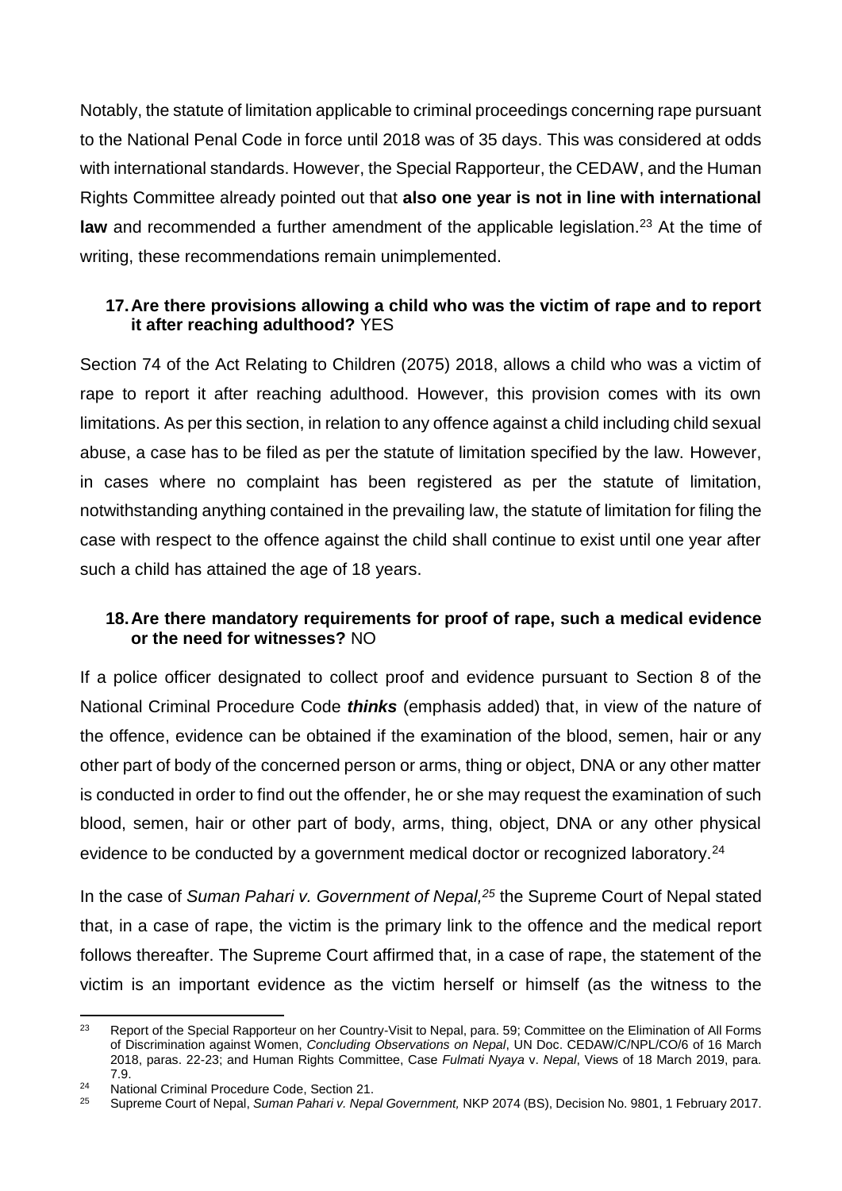Notably, the statute of limitation applicable to criminal proceedings concerning rape pursuant to the National Penal Code in force until 2018 was of 35 days. This was considered at odds with international standards. However, the Special Rapporteur, the CEDAW, and the Human Rights Committee already pointed out that **also one year is not in line with international law** and recommended a further amendment of the applicable legislation.<sup>23</sup> At the time of writing, these recommendations remain unimplemented.

### **17.Are there provisions allowing a child who was the victim of rape and to report it after reaching adulthood?** YES

Section 74 of the Act Relating to Children (2075) 2018, allows a child who was a victim of rape to report it after reaching adulthood. However, this provision comes with its own limitations. As per this section, in relation to any offence against a child including child sexual abuse, a case has to be filed as per the statute of limitation specified by the law. However, in cases where no complaint has been registered as per the statute of limitation, notwithstanding anything contained in the prevailing law, the statute of limitation for filing the case with respect to the offence against the child shall continue to exist until one year after such a child has attained the age of 18 years.

### **18.Are there mandatory requirements for proof of rape, such a medical evidence or the need for witnesses?** NO

If a police officer designated to collect proof and evidence pursuant to Section 8 of the National Criminal Procedure Code *thinks* (emphasis added) that, in view of the nature of the offence, evidence can be obtained if the examination of the blood, semen, hair or any other part of body of the concerned person or arms, thing or object, DNA or any other matter is conducted in order to find out the offender, he or she may request the examination of such blood, semen, hair or other part of body, arms, thing, object, DNA or any other physical evidence to be conducted by a government medical doctor or recognized laboratory.<sup>24</sup>

In the case of *Suman Pahari v. Government of Nepal,<sup>25</sup>* the Supreme Court of Nepal stated that, in a case of rape, the victim is the primary link to the offence and the medical report follows thereafter. The Supreme Court affirmed that, in a case of rape, the statement of the victim is an important evidence as the victim herself or himself (as the witness to the

 $23$ <sup>23</sup> Report of the Special Rapporteur on her Country-Visit to Nepal, para. 59; Committee on the Elimination of All Forms of Discrimination against Women, *Concluding Observations on Nepal*, UN Doc. CEDAW/C/NPL/CO/6 of 16 March 2018, paras. 22-23; and Human Rights Committee, Case *Fulmati Nyaya* v. *Nepal*, Views of 18 March 2019, para. 7.9.

<sup>&</sup>lt;sup>24</sup> National Criminal Procedure Code, Section 21.<br><sup>25</sup> Suprama Court of Napal, Suman Pabari v. Napa

<sup>25</sup> Supreme Court of Nepal, *Suman Pahari v. Nepal Government,* NKP 2074 (BS), Decision No. 9801, 1 February 2017.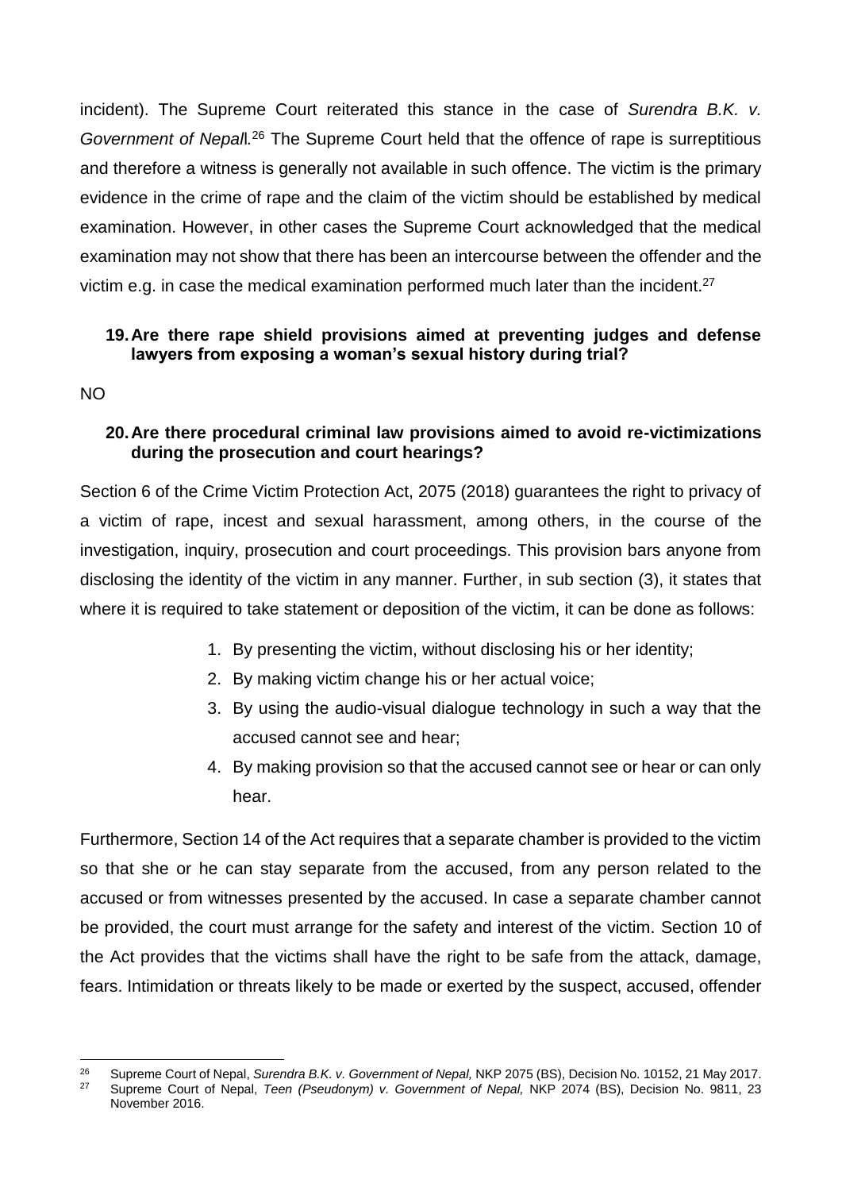incident). The Supreme Court reiterated this stance in the case of *Surendra B.K. v. Government of Nepall.<sup>26</sup>* The Supreme Court held that the offence of rape is surreptitious and therefore a witness is generally not available in such offence. The victim is the primary evidence in the crime of rape and the claim of the victim should be established by medical examination. However, in other cases the Supreme Court acknowledged that the medical examination may not show that there has been an intercourse between the offender and the victim e.g. in case the medical examination performed much later than the incident.<sup>27</sup>

### **19.Are there rape shield provisions aimed at preventing judges and defense lawyers from exposing a woman's sexual history during trial?**

NO

### **20.Are there procedural criminal law provisions aimed to avoid re-victimizations during the prosecution and court hearings?**

Section 6 of the Crime Victim Protection Act, 2075 (2018) guarantees the right to privacy of a victim of rape, incest and sexual harassment, among others, in the course of the investigation, inquiry, prosecution and court proceedings. This provision bars anyone from disclosing the identity of the victim in any manner. Further, in sub section (3), it states that where it is required to take statement or deposition of the victim, it can be done as follows:

- 1. By presenting the victim, without disclosing his or her identity;
- 2. By making victim change his or her actual voice;
- 3. By using the audio-visual dialogue technology in such a way that the accused cannot see and hear;
- 4. By making provision so that the accused cannot see or hear or can only hear.

Furthermore, Section 14 of the Act requires that a separate chamber is provided to the victim so that she or he can stay separate from the accused, from any person related to the accused or from witnesses presented by the accused. In case a separate chamber cannot be provided, the court must arrange for the safety and interest of the victim. Section 10 of the Act provides that the victims shall have the right to be safe from the attack, damage, fears. Intimidation or threats likely to be made or exerted by the suspect, accused, offender

<sup>26</sup> <sup>26</sup> Supreme Court of Nepal, *Surendra B.K. v. Government of Nepal,* NKP 2075 (BS), Decision No. 10152, 21 May 2017. <sup>27</sup> Supreme Court of Nepal, *Teen (Pseudonym) v. Government of Nepal,* NKP 2074 (BS), Decision No. 9811, 23 November 2016.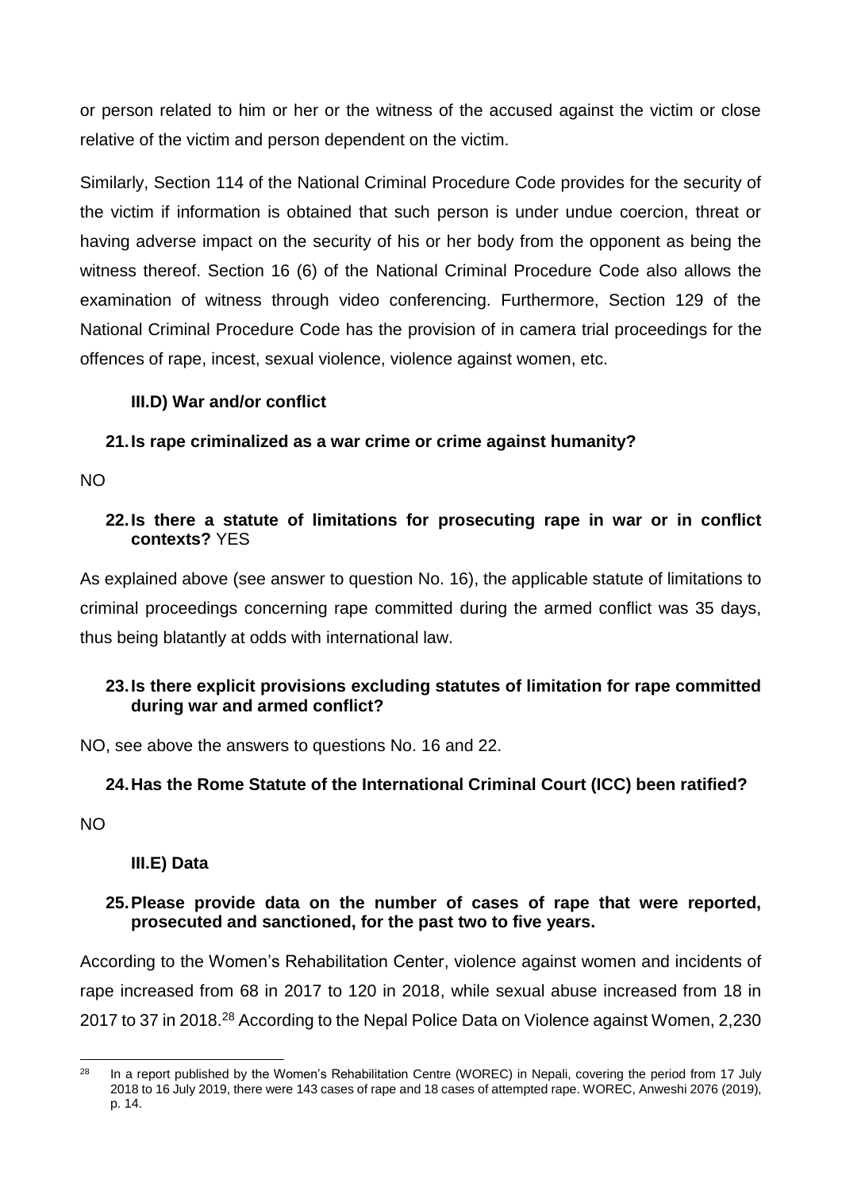or person related to him or her or the witness of the accused against the victim or close relative of the victim and person dependent on the victim.

Similarly, Section 114 of the National Criminal Procedure Code provides for the security of the victim if information is obtained that such person is under undue coercion, threat or having adverse impact on the security of his or her body from the opponent as being the witness thereof. Section 16 (6) of the National Criminal Procedure Code also allows the examination of witness through video conferencing. Furthermore, Section 129 of the National Criminal Procedure Code has the provision of in camera trial proceedings for the offences of rape, incest, sexual violence, violence against women, etc.

### **III.D) War and/or conflict**

### **21.Is rape criminalized as a war crime or crime against humanity?**

NO

#### **22.Is there a statute of limitations for prosecuting rape in war or in conflict contexts?** YES

As explained above (see answer to question No. 16), the applicable statute of limitations to criminal proceedings concerning rape committed during the armed conflict was 35 days, thus being blatantly at odds with international law.

### **23.Is there explicit provisions excluding statutes of limitation for rape committed during war and armed conflict?**

NO, see above the answers to questions No. 16 and 22.

### **24.Has the Rome Statute of the International Criminal Court (ICC) been ratified?**

NO

### **III.E) Data**

### **25.Please provide data on the number of cases of rape that were reported, prosecuted and sanctioned, for the past two to five years.**

According to the Women's Rehabilitation Center, violence against women and incidents of rape increased from 68 in 2017 to 120 in 2018, while sexual abuse increased from 18 in 2017 to 37 in 2018.<sup>28</sup> According to the Nepal Police Data on Violence against Women, 2,230

 $28$ In a report published by the Women's Rehabilitation Centre (WOREC) in Nepali, covering the period from 17 July 2018 to 16 July 2019, there were 143 cases of rape and 18 cases of attempted rape. WOREC, Anweshi 2076 (2019), p. 14.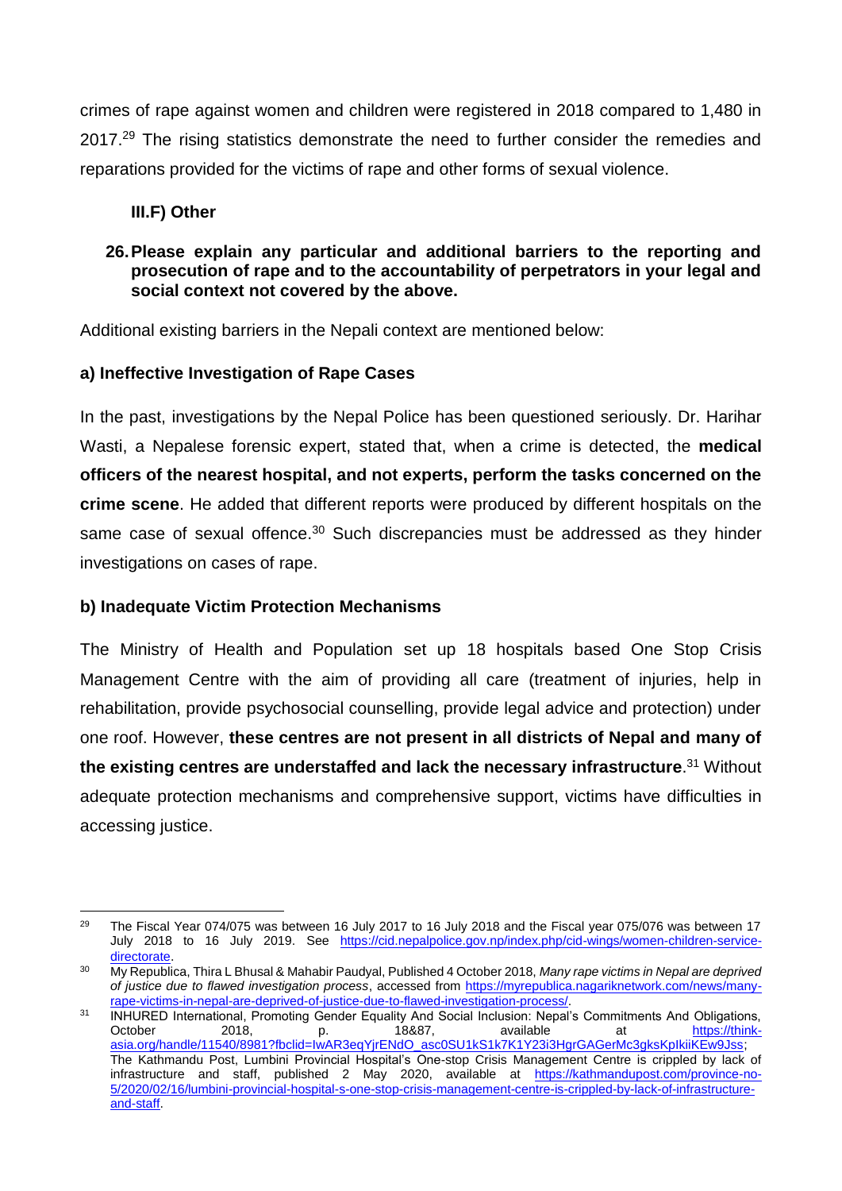crimes of rape against women and children were registered in 2018 compared to 1,480 in 2017.<sup>29</sup> The rising statistics demonstrate the need to further consider the remedies and reparations provided for the victims of rape and other forms of sexual violence.

### **III.F) Other**

### **26.Please explain any particular and additional barriers to the reporting and prosecution of rape and to the accountability of perpetrators in your legal and social context not covered by the above.**

Additional existing barriers in the Nepali context are mentioned below:

### **a) Ineffective Investigation of Rape Cases**

In the past, investigations by the Nepal Police has been questioned seriously. Dr. Harihar Wasti, a Nepalese forensic expert, stated that, when a crime is detected, the **medical officers of the nearest hospital, and not experts, perform the tasks concerned on the crime scene**. He added that different reports were produced by different hospitals on the same case of sexual offence. $30$  Such discrepancies must be addressed as they hinder investigations on cases of rape.

### **b) Inadequate Victim Protection Mechanisms**

The Ministry of Health and Population set up 18 hospitals based One Stop Crisis Management Centre with the aim of providing all care (treatment of injuries, help in rehabilitation, provide psychosocial counselling, provide legal advice and protection) under one roof. However, **these centres are not present in all districts of Nepal and many of the existing centres are understaffed and lack the necessary infrastructure**. <sup>31</sup> Without adequate protection mechanisms and comprehensive support, victims have difficulties in accessing justice.

 $\overline{a}$  $29$  The Fiscal Year 074/075 was between 16 July 2017 to 16 July 2018 and the Fiscal year 075/076 was between 17 July 2018 to 16 July 2019. See [https://cid.nepalpolice.gov.np/index.php/cid-wings/women-children-service](https://cid.nepalpolice.gov.np/index.php/cid-wings/women-children-service-directorate)[directorate](https://cid.nepalpolice.gov.np/index.php/cid-wings/women-children-service-directorate).

<sup>30</sup> My Republica, Thira L Bhusal & Mahabir Paudyal, Published 4 October 2018, *Many rape victims in Nepal are deprived of justice due to flawed investigation process*, accessed from [https://myrepublica.nagariknetwork.com/news/many](https://myrepublica.nagariknetwork.com/news/many-rape-victims-in-nepal-are-deprived-of-justice-due-to-flawed-investigation-process/)[rape-victims-in-nepal-are-deprived-of-justice-due-to-flawed-investigation-process/.](https://myrepublica.nagariknetwork.com/news/many-rape-victims-in-nepal-are-deprived-of-justice-due-to-flawed-investigation-process/)

<sup>&</sup>lt;sup>31</sup> INHURED International, Promoting Gender Equality And Social Inclusion: Nepal's Commitments And Obligations, October 2018, p. 18&87, available at <u>https://think-</u> [asia.org/handle/11540/8981?fbclid=IwAR3eqYjrENdO\\_asc0SU1kS1k7K1Y23i3HgrGAGerMc3gksKpIkiiKEw9Jss;](https://think-asia.org/handle/11540/8981?fbclid=IwAR3eqYjrENdO_asc0SU1kS1k7K1Y23i3HgrGAGerMc3gksKpIkiiKEw9Jss) The Kathmandu Post, Lumbini Provincial Hospital's One-stop Crisis Management Centre is crippled by lack of infrastructure and staff, published 2 May 2020, available at [https://kathmandupost.com/province-no-](https://kathmandupost.com/province-no-5/2020/02/16/lumbini-provincial-hospital-s-one-stop-crisis-management-centre-is-crippled-by-lack-of-infrastructure-and-staff)[5/2020/02/16/lumbini-provincial-hospital-s-one-stop-crisis-management-centre-is-crippled-by-lack-of-infrastructure](https://kathmandupost.com/province-no-5/2020/02/16/lumbini-provincial-hospital-s-one-stop-crisis-management-centre-is-crippled-by-lack-of-infrastructure-and-staff)[and-staff.](https://kathmandupost.com/province-no-5/2020/02/16/lumbini-provincial-hospital-s-one-stop-crisis-management-centre-is-crippled-by-lack-of-infrastructure-and-staff)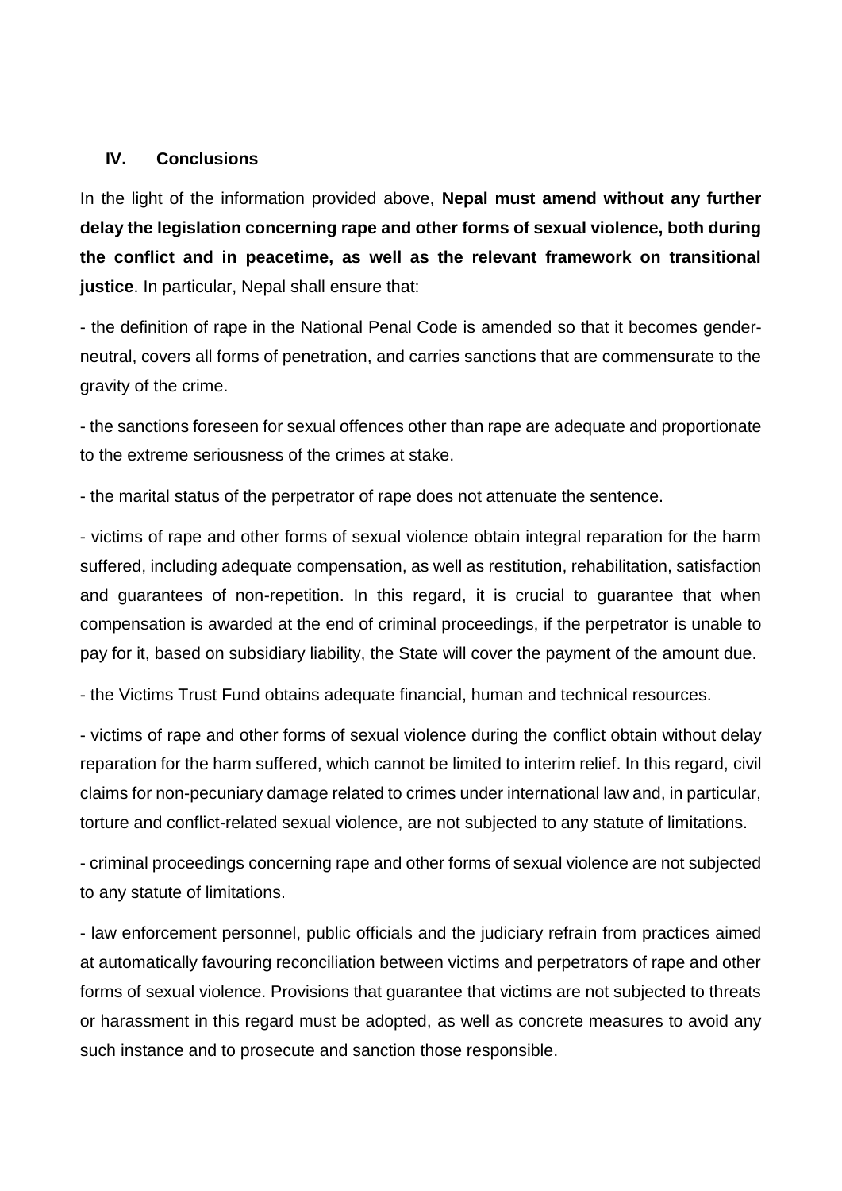#### **IV. Conclusions**

In the light of the information provided above, **Nepal must amend without any further delay the legislation concerning rape and other forms of sexual violence, both during the conflict and in peacetime, as well as the relevant framework on transitional justice**. In particular, Nepal shall ensure that:

- the definition of rape in the National Penal Code is amended so that it becomes genderneutral, covers all forms of penetration, and carries sanctions that are commensurate to the gravity of the crime.

- the sanctions foreseen for sexual offences other than rape are adequate and proportionate to the extreme seriousness of the crimes at stake.

- the marital status of the perpetrator of rape does not attenuate the sentence.

- victims of rape and other forms of sexual violence obtain integral reparation for the harm suffered, including adequate compensation, as well as restitution, rehabilitation, satisfaction and guarantees of non-repetition. In this regard, it is crucial to guarantee that when compensation is awarded at the end of criminal proceedings, if the perpetrator is unable to pay for it, based on subsidiary liability, the State will cover the payment of the amount due.

- the Victims Trust Fund obtains adequate financial, human and technical resources.

- victims of rape and other forms of sexual violence during the conflict obtain without delay reparation for the harm suffered, which cannot be limited to interim relief. In this regard, civil claims for non-pecuniary damage related to crimes under international law and, in particular, torture and conflict-related sexual violence, are not subjected to any statute of limitations.

- criminal proceedings concerning rape and other forms of sexual violence are not subjected to any statute of limitations.

- law enforcement personnel, public officials and the judiciary refrain from practices aimed at automatically favouring reconciliation between victims and perpetrators of rape and other forms of sexual violence. Provisions that guarantee that victims are not subjected to threats or harassment in this regard must be adopted, as well as concrete measures to avoid any such instance and to prosecute and sanction those responsible.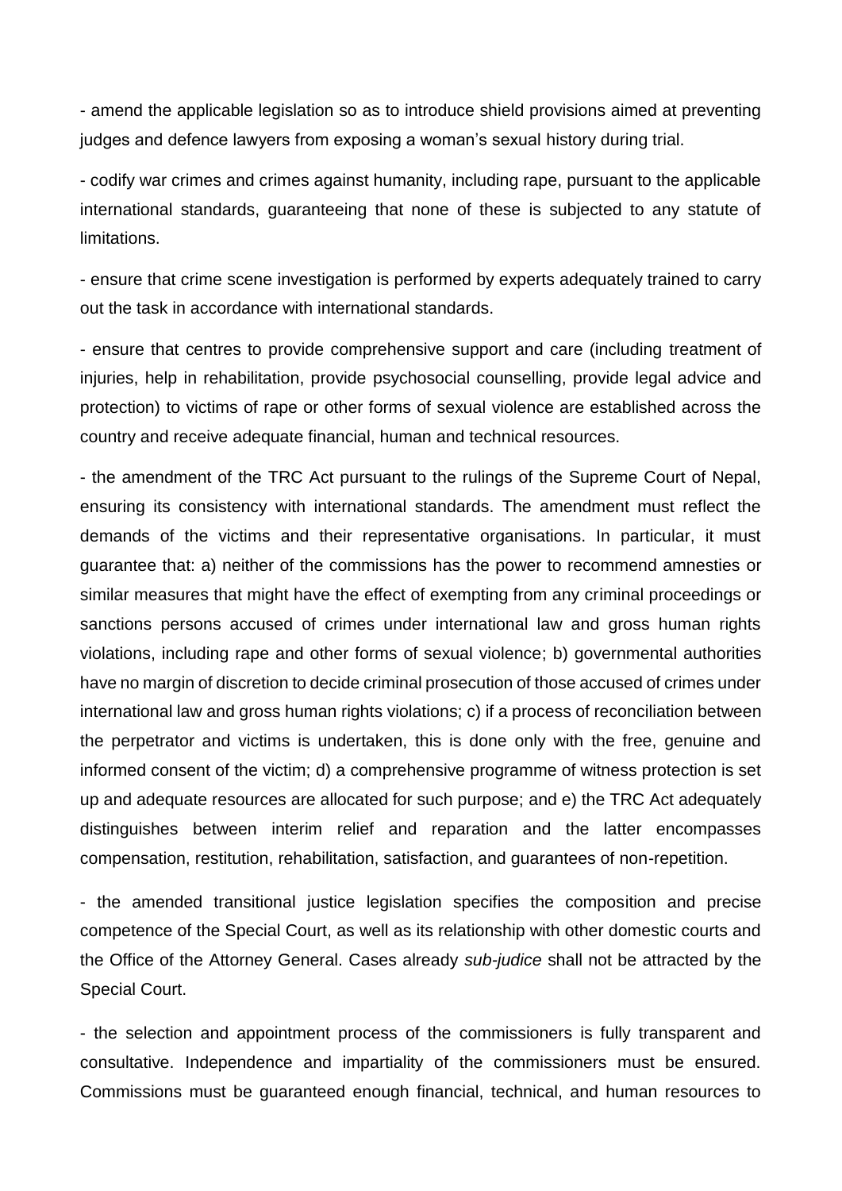- amend the applicable legislation so as to introduce shield provisions aimed at preventing judges and defence lawyers from exposing a woman's sexual history during trial.

- codify war crimes and crimes against humanity, including rape, pursuant to the applicable international standards, guaranteeing that none of these is subjected to any statute of limitations.

- ensure that crime scene investigation is performed by experts adequately trained to carry out the task in accordance with international standards.

- ensure that centres to provide comprehensive support and care (including treatment of injuries, help in rehabilitation, provide psychosocial counselling, provide legal advice and protection) to victims of rape or other forms of sexual violence are established across the country and receive adequate financial, human and technical resources.

- the amendment of the TRC Act pursuant to the rulings of the Supreme Court of Nepal, ensuring its consistency with international standards. The amendment must reflect the demands of the victims and their representative organisations. In particular, it must guarantee that: a) neither of the commissions has the power to recommend amnesties or similar measures that might have the effect of exempting from any criminal proceedings or sanctions persons accused of crimes under international law and gross human rights violations, including rape and other forms of sexual violence; b) governmental authorities have no margin of discretion to decide criminal prosecution of those accused of crimes under international law and gross human rights violations; c) if a process of reconciliation between the perpetrator and victims is undertaken, this is done only with the free, genuine and informed consent of the victim; d) a comprehensive programme of witness protection is set up and adequate resources are allocated for such purpose; and e) the TRC Act adequately distinguishes between interim relief and reparation and the latter encompasses compensation, restitution, rehabilitation, satisfaction, and guarantees of non-repetition.

- the amended transitional justice legislation specifies the composition and precise competence of the Special Court, as well as its relationship with other domestic courts and the Office of the Attorney General. Cases already *sub-judice* shall not be attracted by the Special Court.

- the selection and appointment process of the commissioners is fully transparent and consultative. Independence and impartiality of the commissioners must be ensured. Commissions must be guaranteed enough financial, technical, and human resources to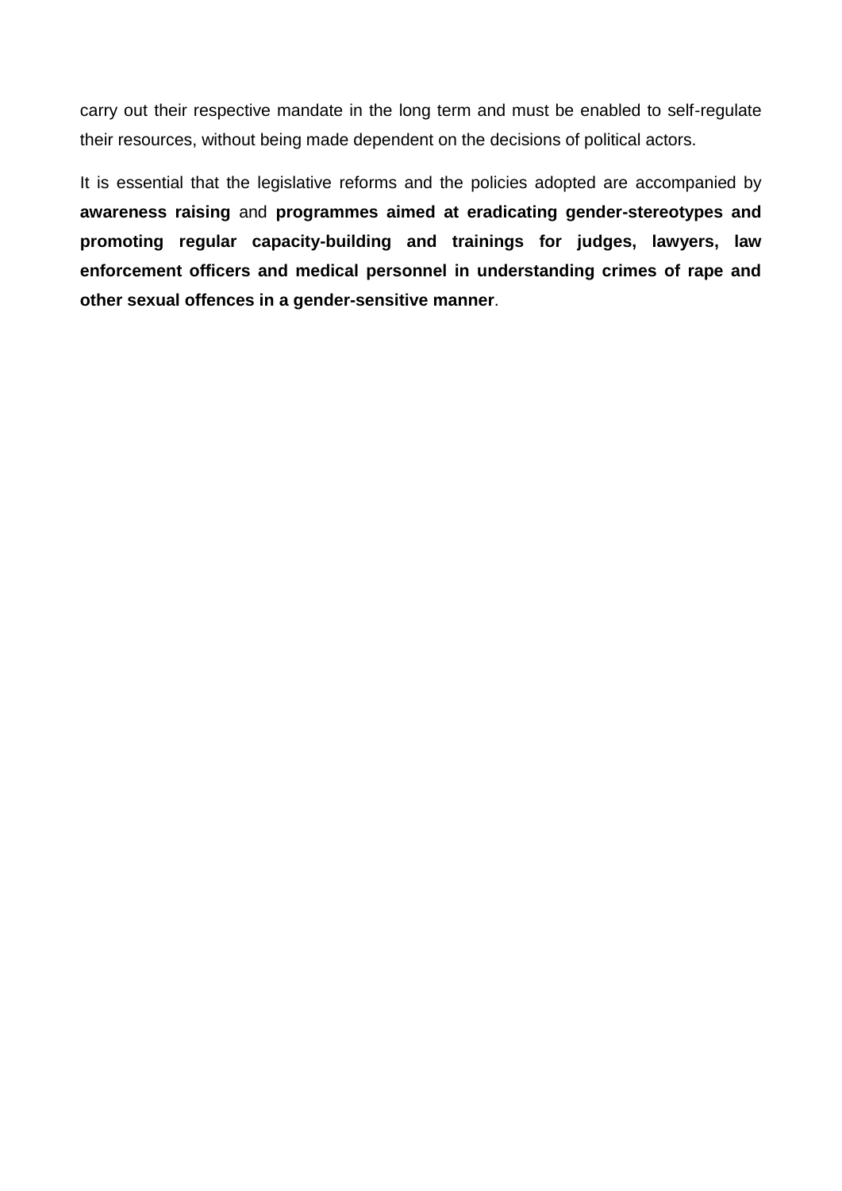carry out their respective mandate in the long term and must be enabled to self-regulate their resources, without being made dependent on the decisions of political actors.

It is essential that the legislative reforms and the policies adopted are accompanied by **awareness raising** and **programmes aimed at eradicating gender-stereotypes and promoting regular capacity-building and trainings for judges, lawyers, law enforcement officers and medical personnel in understanding crimes of rape and other sexual offences in a gender-sensitive manner**.